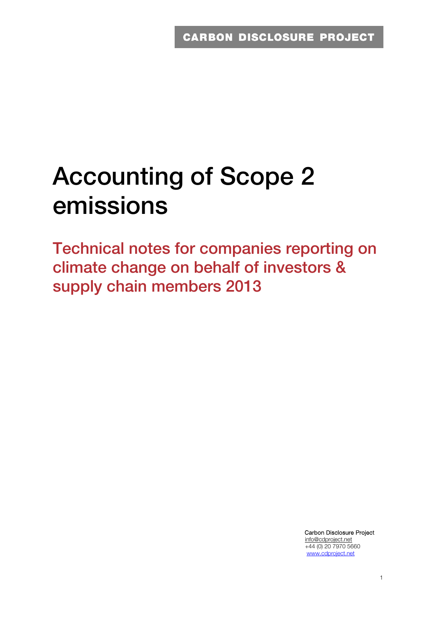# **Accounting of Scope 2 emissions**

**Technical notes for companies reporting on climate change on behalf of investors & supply chain members 2013** 

> Carbon Disclosure Project info@cdproject.net +44 (0) 20 7970 5660 www.cdproject.net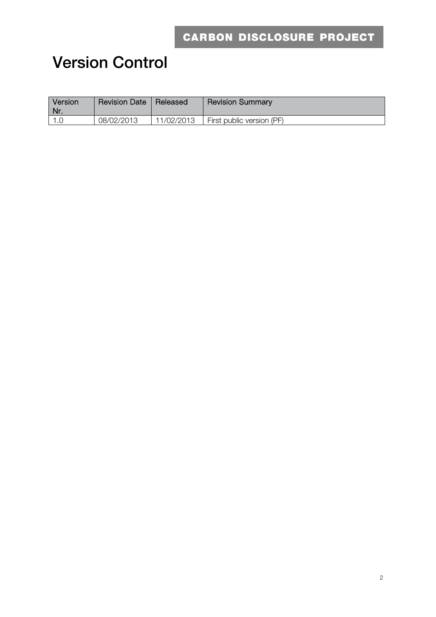## **Version Control**

| Version<br>∖ Nr. | <b>Revision Date</b> | Released   | <b>Revision Summary</b>   |
|------------------|----------------------|------------|---------------------------|
|                  | 08/02/2013           | 11/02/2013 | First public version (PF) |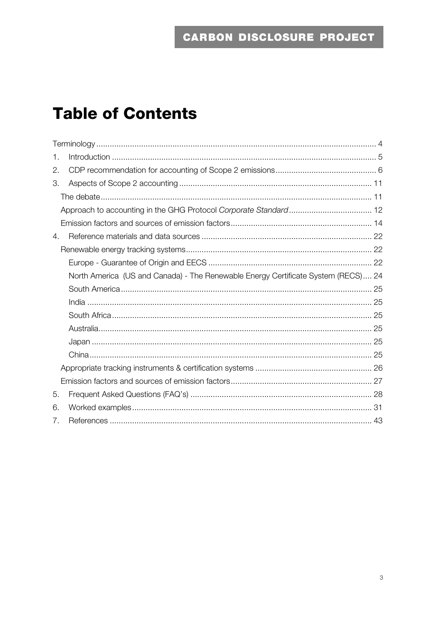## **Table of Contents**

| 1. |                                                                                   |  |
|----|-----------------------------------------------------------------------------------|--|
| 2. |                                                                                   |  |
| 3. |                                                                                   |  |
|    |                                                                                   |  |
|    |                                                                                   |  |
|    |                                                                                   |  |
| 4. |                                                                                   |  |
|    |                                                                                   |  |
|    |                                                                                   |  |
|    | North America (US and Canada) - The Renewable Energy Certificate System (RECS) 24 |  |
|    |                                                                                   |  |
|    |                                                                                   |  |
|    |                                                                                   |  |
|    |                                                                                   |  |
|    |                                                                                   |  |
|    |                                                                                   |  |
|    |                                                                                   |  |
|    |                                                                                   |  |
| 5. |                                                                                   |  |
| 6. |                                                                                   |  |
| 7. |                                                                                   |  |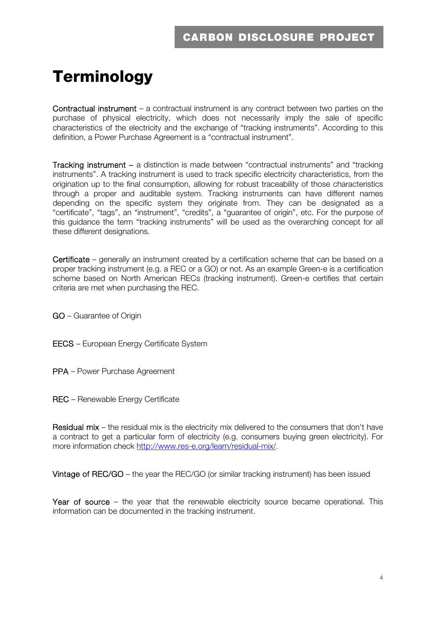## **Terminology**

Contractual instrument – a contractual instrument is any contract between two parties on the purchase of physical electricity, which does not necessarily imply the sale of specific characteristics of the electricity and the exchange of "tracking instruments". According to this definition, a Power Purchase Agreement is a "contractual instrument".

Tracking instrument – a distinction is made between "contractual instruments" and "tracking instruments". A tracking instrument is used to track specific electricity characteristics, from the origination up to the final consumption, allowing for robust traceability of those characteristics through a proper and auditable system. Tracking instruments can have different names depending on the specific system they originate from. They can be designated as a "certificate", "tags", an "instrument", "credits", a "guarantee of origin", etc. For the purpose of this guidance the term "tracking instruments" will be used as the overarching concept for all these different designations.

Certificate – generally an instrument created by a certification scheme that can be based on a proper tracking instrument (e.g. a REC or a GO) or not. As an example Green-e is a certification scheme based on North American RECs (tracking instrument). Green-e certifies that certain criteria are met when purchasing the REC.

- GO Guarantee of Origin
- EECS European Energy Certificate System
- PPA Power Purchase Agreement
- REC Renewable Energy Certificate

Residual mix – the residual mix is the electricity mix delivered to the consumers that don't have a contract to get a particular form of electricity (e.g. consumers buying green electricity). For more information check http://www.res-e.org/learn/residual-mix/.

Vintage of REC/GO – the year the REC/GO (or similar tracking instrument) has been issued

Year of source – the year that the renewable electricity source became operational. This information can be documented in the tracking instrument.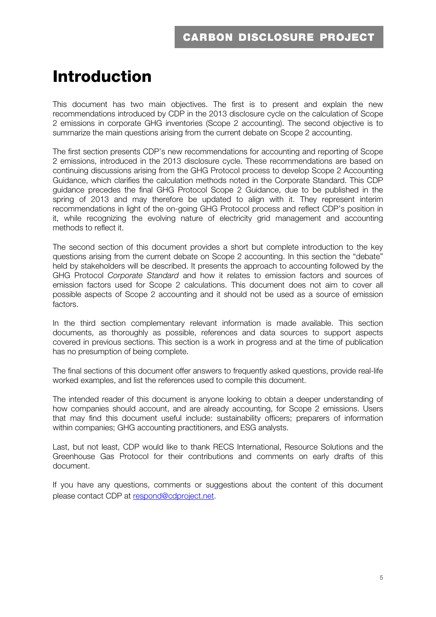## **Introduction**

This document has two main objectives. The first is to present and explain the new recommendations introduced by CDP in the 2013 disclosure cycle on the calculation of Scope 2 emissions in corporate GHG inventories (Scope 2 accounting). The second objective is to summarize the main questions arising from the current debate on Scope 2 accounting.

The first section presents CDP's new recommendations for accounting and reporting of Scope 2 emissions, introduced in the 2013 disclosure cycle. These recommendations are based on continuing discussions arising from the GHG Protocol process to develop Scope 2 Accounting Guidance, which clarifies the calculation methods noted in the Corporate Standard. This CDP guidance precedes the final GHG Protocol Scope 2 Guidance, due to be published in the spring of 2013 and may therefore be updated to align with it. They represent interim recommendations in light of the on-going GHG Protocol process and reflect CDP's position in it, while recognizing the evolving nature of electricity grid management and accounting methods to reflect it.

The second section of this document provides a short but complete introduction to the key questions arising from the current debate on Scope 2 accounting. In this section the "debate" held by stakeholders will be described. It presents the approach to accounting followed by the GHG Protocol *Corporate Standard* and how it relates to emission factors and sources of emission factors used for Scope 2 calculations. This document does not aim to cover all possible aspects of Scope 2 accounting and it should not be used as a source of emission factors.

In the third section complementary relevant information is made available. This section documents, as thoroughly as possible, references and data sources to support aspects covered in previous sections. This section is a work in progress and at the time of publication has no presumption of being complete.

The final sections of this document offer answers to frequently asked questions, provide real-life worked examples, and list the references used to compile this document.

The intended reader of this document is anyone looking to obtain a deeper understanding of how companies should account, and are already accounting, for Scope 2 emissions. Users that may find this document useful include: sustainability officers; preparers of information within companies; GHG accounting practitioners, and ESG analysts.

Last, but not least, CDP would like to thank RECS International, Resource Solutions and the Greenhouse Gas Protocol for their contributions and comments on early drafts of this document.

If you have any questions, comments or suggestions about the content of this document please contact CDP at respond@cdproject.net.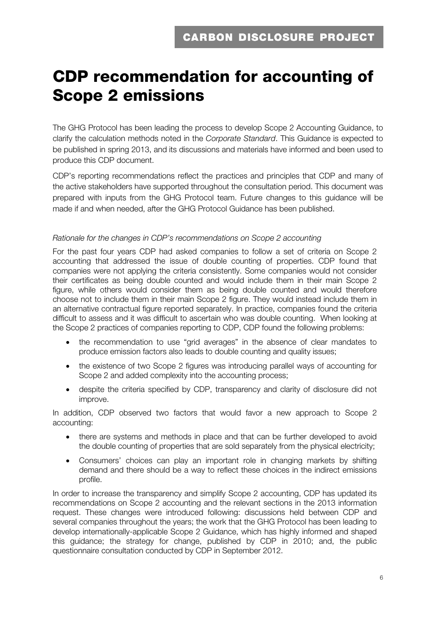## **CDP recommendation for accounting of Scope 2 emissions**

The GHG Protocol has been leading the process to develop Scope 2 Accounting Guidance, to clarify the calculation methods noted in the *Corporate Standard*. This Guidance is expected to be published in spring 2013, and its discussions and materials have informed and been used to produce this CDP document.

CDP's reporting recommendations reflect the practices and principles that CDP and many of the active stakeholders have supported throughout the consultation period. This document was prepared with inputs from the GHG Protocol team. Future changes to this guidance will be made if and when needed, after the GHG Protocol Guidance has been published.

#### *Rationale for the changes in CDP's recommendations on Scope 2 accounting*

For the past four years CDP had asked companies to follow a set of criteria on Scope 2 accounting that addressed the issue of double counting of properties. CDP found that companies were not applying the criteria consistently. Some companies would not consider their certificates as being double counted and would include them in their main Scope 2 figure, while others would consider them as being double counted and would therefore choose not to include them in their main Scope 2 figure. They would instead include them in an alternative contractual figure reported separately. In practice, companies found the criteria difficult to assess and it was difficult to ascertain who was double counting. When looking at the Scope 2 practices of companies reporting to CDP, CDP found the following problems:

- the recommendation to use "grid averages" in the absence of clear mandates to produce emission factors also leads to double counting and quality issues;
- the existence of two Scope 2 figures was introducing parallel ways of accounting for Scope 2 and added complexity into the accounting process:
- despite the criteria specified by CDP, transparency and clarity of disclosure did not improve.

In addition, CDP observed two factors that would favor a new approach to Scope 2 accounting:

- there are systems and methods in place and that can be further developed to avoid the double counting of properties that are sold separately from the physical electricity;
- Consumers' choices can play an important role in changing markets by shifting demand and there should be a way to reflect these choices in the indirect emissions profile.

In order to increase the transparency and simplify Scope 2 accounting, CDP has updated its recommendations on Scope 2 accounting and the relevant sections in the 2013 information request. These changes were introduced following: discussions held between CDP and several companies throughout the years; the work that the GHG Protocol has been leading to develop internationally-applicable Scope 2 Guidance, which has highly informed and shaped this guidance; the strategy for change, published by CDP in 2010; and, the public questionnaire consultation conducted by CDP in September 2012.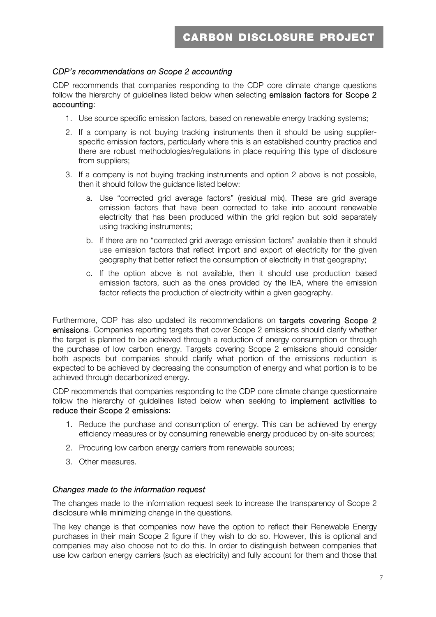#### *CDP's recommendations on Scope 2 accounting*

CDP recommends that companies responding to the CDP core climate change questions follow the hierarchy of guidelines listed below when selecting emission factors for Scope 2 accounting:

- 1. Use source specific emission factors, based on renewable energy tracking systems;
- 2. If a company is not buying tracking instruments then it should be using supplierspecific emission factors, particularly where this is an established country practice and there are robust methodologies/regulations in place requiring this type of disclosure from suppliers;
- 3. If a company is not buying tracking instruments and option 2 above is not possible, then it should follow the guidance listed below:
	- a. Use "corrected grid average factors" (residual mix). These are grid average emission factors that have been corrected to take into account renewable electricity that has been produced within the grid region but sold separately using tracking instruments;
	- b. If there are no "corrected grid average emission factors" available then it should use emission factors that reflect import and export of electricity for the given geography that better reflect the consumption of electricity in that geography;
	- c. If the option above is not available, then it should use production based emission factors, such as the ones provided by the IEA, where the emission factor reflects the production of electricity within a given geography.

Furthermore, CDP has also updated its recommendations on targets covering Scope 2 emissions. Companies reporting targets that cover Scope 2 emissions should clarify whether the target is planned to be achieved through a reduction of energy consumption or through the purchase of low carbon energy. Targets covering Scope 2 emissions should consider both aspects but companies should clarify what portion of the emissions reduction is expected to be achieved by decreasing the consumption of energy and what portion is to be achieved through decarbonized energy.

CDP recommends that companies responding to the CDP core climate change questionnaire follow the hierarchy of guidelines listed below when seeking to implement activities to reduce their Scope 2 emissions:

- 1. Reduce the purchase and consumption of energy. This can be achieved by energy efficiency measures or by consuming renewable energy produced by on-site sources;
- 2. Procuring low carbon energy carriers from renewable sources;
- 3. Other measures.

#### *Changes made to the information request*

The changes made to the information request seek to increase the transparency of Scope 2 disclosure while minimizing change in the questions.

The key change is that companies now have the option to reflect their Renewable Energy purchases in their main Scope 2 figure if they wish to do so. However, this is optional and companies may also choose not to do this. In order to distinguish between companies that use low carbon energy carriers (such as electricity) and fully account for them and those that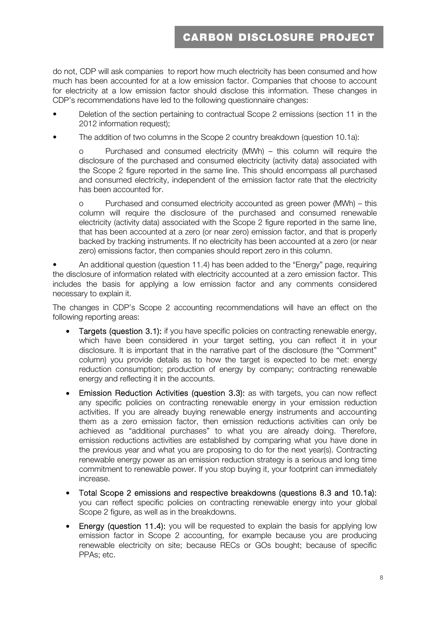do not, CDP will ask companies to report how much electricity has been consumed and how much has been accounted for at a low emission factor. Companies that choose to account for electricity at a low emission factor should disclose this information. These changes in CDP's recommendations have led to the following questionnaire changes:

- Deletion of the section pertaining to contractual Scope 2 emissions (section 11 in the 2012 information request);
- The addition of two columns in the Scope 2 country breakdown (question 10.1a):

o Purchased and consumed electricity (MWh) – this column will require the disclosure of the purchased and consumed electricity (activity data) associated with the Scope 2 figure reported in the same line. This should encompass all purchased and consumed electricity, independent of the emission factor rate that the electricity has been accounted for.

o Purchased and consumed electricity accounted as green power (MWh) – this column will require the disclosure of the purchased and consumed renewable electricity (activity data) associated with the Scope 2 figure reported in the same line, that has been accounted at a zero (or near zero) emission factor, and that is properly backed by tracking instruments. If no electricity has been accounted at a zero (or near zero) emissions factor, then companies should report zero in this column.

• An additional question (question 11.4) has been added to the "Energy" page, requiring the disclosure of information related with electricity accounted at a zero emission factor. This includes the basis for applying a low emission factor and any comments considered necessary to explain it.

The changes in CDP's Scope 2 accounting recommendations will have an effect on the following reporting areas:

- Targets (question 3.1): if you have specific policies on contracting renewable energy, which have been considered in your target setting, you can reflect it in your disclosure. It is important that in the narrative part of the disclosure (the "Comment" column) you provide details as to how the target is expected to be met: energy reduction consumption; production of energy by company; contracting renewable energy and reflecting it in the accounts.
- Emission Reduction Activities (question 3.3): as with targets, you can now reflect any specific policies on contracting renewable energy in your emission reduction activities. If you are already buying renewable energy instruments and accounting them as a zero emission factor, then emission reductions activities can only be achieved as "additional purchases" to what you are already doing. Therefore, emission reductions activities are established by comparing what you have done in the previous year and what you are proposing to do for the next year(s). Contracting renewable energy power as an emission reduction strategy is a serious and long time commitment to renewable power. If you stop buying it, your footprint can immediately increase.
- Total Scope 2 emissions and respective breakdowns (questions 8.3 and 10.1a): you can reflect specific policies on contracting renewable energy into your global Scope 2 figure, as well as in the breakdowns.
- Energy (question 11.4): you will be requested to explain the basis for applying low emission factor in Scope 2 accounting, for example because you are producing renewable electricity on site; because RECs or GOs bought; because of specific PPAs; etc.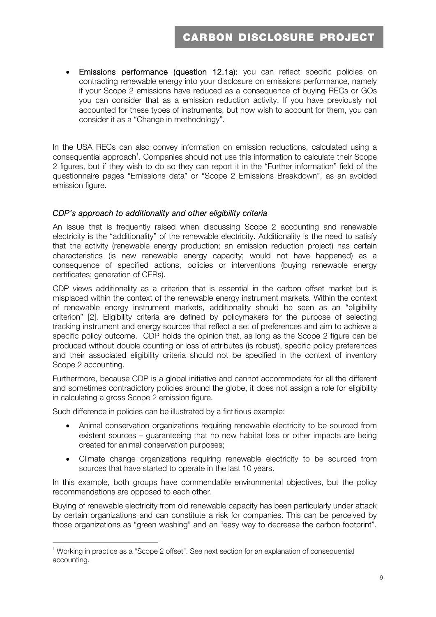Emissions performance (question 12.1a): you can reflect specific policies on contracting renewable energy into your disclosure on emissions performance, namely if your Scope 2 emissions have reduced as a consequence of buying RECs or GOs you can consider that as a emission reduction activity. If you have previously not accounted for these types of instruments, but now wish to account for them, you can consider it as a "Change in methodology".

In the USA RECs can also convey information on emission reductions, calculated using a consequential approach<sup>1</sup>. Companies should not use this information to calculate their Scope 2 figures, but if they wish to do so they can report it in the "Further information" field of the questionnaire pages "Emissions data" or "Scope 2 Emissions Breakdown", as an avoided emission figure.

#### *CDP's approach to additionality and other eligibility criteria*

An issue that is frequently raised when discussing Scope 2 accounting and renewable electricity is the "additionality" of the renewable electricity. Additionality is the need to satisfy that the activity (renewable energy production; an emission reduction project) has certain characteristics (is new renewable energy capacity; would not have happened) as a consequence of specified actions, policies or interventions (buying renewable energy certificates; generation of CERs).

CDP views additionality as a criterion that is essential in the carbon offset market but is misplaced within the context of the renewable energy instrument markets. Within the context of renewable energy instrument markets, additionality should be seen as an "eligibility criterion" [2]. Eligibility criteria are defined by policymakers for the purpose of selecting tracking instrument and energy sources that reflect a set of preferences and aim to achieve a specific policy outcome. CDP holds the opinion that, as long as the Scope 2 figure can be produced without double counting or loss of attributes (is robust), specific policy preferences and their associated eligibility criteria should not be specified in the context of inventory Scope 2 accounting.

Furthermore, because CDP is a global initiative and cannot accommodate for all the different and sometimes contradictory policies around the globe, it does not assign a role for eligibility in calculating a gross Scope 2 emission figure.

Such difference in policies can be illustrated by a fictitious example:

- Animal conservation organizations requiring renewable electricity to be sourced from existent sources – guaranteeing that no new habitat loss or other impacts are being created for animal conservation purposes;
- Climate change organizations requiring renewable electricity to be sourced from sources that have started to operate in the last 10 years.

In this example, both groups have commendable environmental objectives, but the policy recommendations are opposed to each other.

Buying of renewable electricity from old renewable capacity has been particularly under attack by certain organizations and can constitute a risk for companies. This can be perceived by those organizations as "green washing" and an "easy way to decrease the carbon footprint".

<sup>&</sup>lt;sup>1</sup> Working in practice as a "Scope 2 offset". See next section for an explanation of consequential accounting.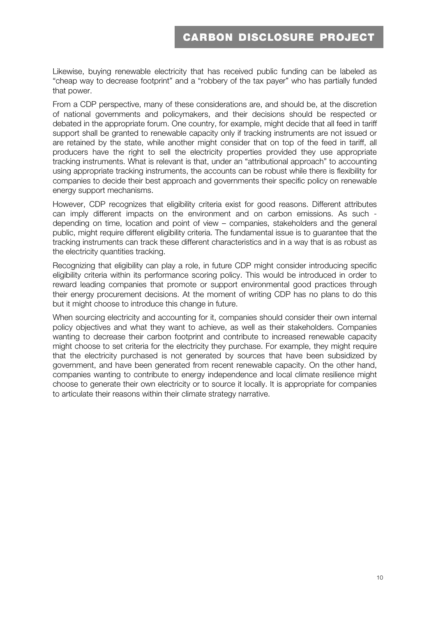Likewise, buying renewable electricity that has received public funding can be labeled as "cheap way to decrease footprint" and a "robbery of the tax payer" who has partially funded that power.

From a CDP perspective, many of these considerations are, and should be, at the discretion of national governments and policymakers, and their decisions should be respected or debated in the appropriate forum. One country, for example, might decide that all feed in tariff support shall be granted to renewable capacity only if tracking instruments are not issued or are retained by the state, while another might consider that on top of the feed in tariff, all producers have the right to sell the electricity properties provided they use appropriate tracking instruments. What is relevant is that, under an "attributional approach" to accounting using appropriate tracking instruments, the accounts can be robust while there is flexibility for companies to decide their best approach and governments their specific policy on renewable energy support mechanisms.

However, CDP recognizes that eligibility criteria exist for good reasons. Different attributes can imply different impacts on the environment and on carbon emissions. As such depending on time, location and point of view – companies, stakeholders and the general public, might require different eligibility criteria. The fundamental issue is to guarantee that the tracking instruments can track these different characteristics and in a way that is as robust as the electricity quantities tracking.

Recognizing that eligibility can play a role, in future CDP might consider introducing specific eligibility criteria within its performance scoring policy. This would be introduced in order to reward leading companies that promote or support environmental good practices through their energy procurement decisions. At the moment of writing CDP has no plans to do this but it might choose to introduce this change in future.

When sourcing electricity and accounting for it, companies should consider their own internal policy objectives and what they want to achieve, as well as their stakeholders. Companies wanting to decrease their carbon footprint and contribute to increased renewable capacity might choose to set criteria for the electricity they purchase. For example, they might require that the electricity purchased is not generated by sources that have been subsidized by government, and have been generated from recent renewable capacity. On the other hand, companies wanting to contribute to energy independence and local climate resilience might choose to generate their own electricity or to source it locally. It is appropriate for companies to articulate their reasons within their climate strategy narrative.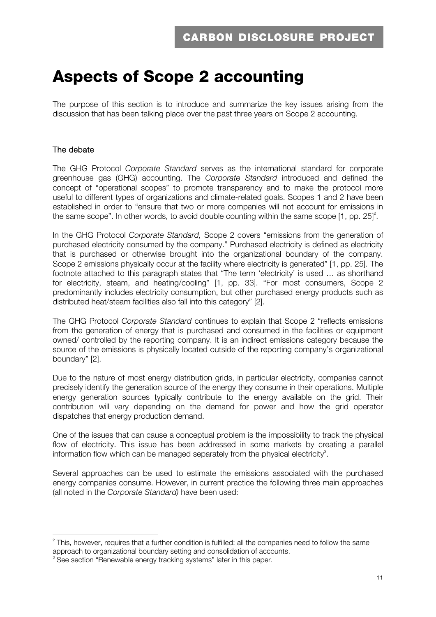## **Aspects of Scope 2 accounting**

The purpose of this section is to introduce and summarize the key issues arising from the discussion that has been talking place over the past three years on Scope 2 accounting.

#### The debate

The GHG Protocol *Corporate Standard* serves as the international standard for corporate greenhouse gas (GHG) accounting. The *Corporate Standard* introduced and defined the concept of "operational scopes" to promote transparency and to make the protocol more useful to different types of organizations and climate-related goals. Scopes 1 and 2 have been established in order to "ensure that two or more companies will not account for emissions in the same scope". In other words, to avoid double counting within the same scope  $[1, pp. 25]^2$ .

In the GHG Protocol *Corporate Standard,* Scope 2 covers "emissions from the generation of purchased electricity consumed by the company." Purchased electricity is defined as electricity that is purchased or otherwise brought into the organizational boundary of the company. Scope 2 emissions physically occur at the facility where electricity is generated" [1, pp. 25]. The footnote attached to this paragraph states that "The term 'electricity' is used … as shorthand for electricity, steam, and heating/cooling" [1, pp. 33]. "For most consumers, Scope 2 predominantly includes electricity consumption, but other purchased energy products such as distributed heat/steam facilities also fall into this category" [2].

The GHG Protocol *Corporate Standard* continues to explain that Scope 2 "reflects emissions from the generation of energy that is purchased and consumed in the facilities or equipment owned/ controlled by the reporting company. It is an indirect emissions category because the source of the emissions is physically located outside of the reporting company's organizational boundary" [2].

Due to the nature of most energy distribution grids, in particular electricity, companies cannot precisely identify the generation source of the energy they consume in their operations. Multiple energy generation sources typically contribute to the energy available on the grid. Their contribution will vary depending on the demand for power and how the grid operator dispatches that energy production demand.

One of the issues that can cause a conceptual problem is the impossibility to track the physical flow of electricity. This issue has been addressed in some markets by creating a parallel information flow which can be managed separately from the physical electricity<sup>3</sup>.

Several approaches can be used to estimate the emissions associated with the purchased energy companies consume. However, in current practice the following three main approaches (all noted in the *Corporate Standard)* have been used:

 $2$  This, however, requires that a further condition is fulfilled: all the companies need to follow the same approach to organizational boundary setting and consolidation of accounts.

<sup>&</sup>lt;sup>3</sup> See section "Renewable energy tracking systems" later in this paper.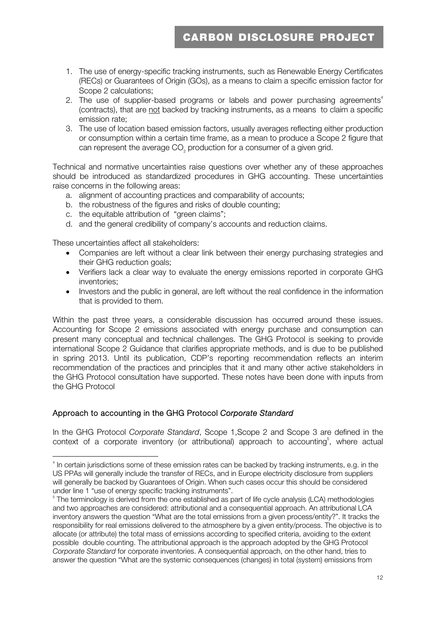- 1. The use of energy-specific tracking instruments, such as Renewable Energy Certificates (RECs) or Guarantees of Origin (GOs), as a means to claim a specific emission factor for Scope 2 calculations;
- 2. The use of supplier-based programs or labels and power purchasing agreements<sup>4</sup> (contracts), that are not backed by tracking instruments, as a means to claim a specific emission rate;
- 3. The use of location based emission factors, usually averages reflecting either production or consumption within a certain time frame, as a mean to produce a Scope 2 figure that can represent the average CO<sub>2</sub> production for a consumer of a given grid.

Technical and normative uncertainties raise questions over whether any of these approaches should be introduced as standardized procedures in GHG accounting. These uncertainties raise concerns in the following areas:

- a. alignment of accounting practices and comparability of accounts;
- b. the robustness of the figures and risks of double counting;
- c. the equitable attribution of "green claims";
- d. and the general credibility of company's accounts and reduction claims.

These uncertainties affect all stakeholders:

- Companies are left without a clear link between their energy purchasing strategies and their GHG reduction goals;
- Verifiers lack a clear way to evaluate the energy emissions reported in corporate GHG inventories;
- Investors and the public in general, are left without the real confidence in the information that is provided to them.

Within the past three years, a considerable discussion has occurred around these issues. Accounting for Scope 2 emissions associated with energy purchase and consumption can present many conceptual and technical challenges. The GHG Protocol is seeking to provide international Scope 2 Guidance that clarifies appropriate methods, and is due to be published in spring 2013. Until its publication, CDP's reporting recommendation reflects an interim recommendation of the practices and principles that it and many other active stakeholders in the GHG Protocol consultation have supported. These notes have been done with inputs from the GHG Protocol

#### Approach to accounting in the GHG Protocol *Corporate Standard*

In the GHG Protocol *Corporate Standard*, Scope 1,Scope 2 and Scope 3 are defined in the context of a corporate inventory (or attributional) approach to accounting<sup>5</sup>, where actual

<sup>&</sup>lt;sup>4</sup> In certain jurisdictions some of these emission rates can be backed by tracking instruments, e.g. in the US PPAs will generally include the transfer of RECs, and in Europe electricity disclosure from suppliers will generally be backed by Guarantees of Origin. When such cases occur this should be considered under line 1 "use of energy specific tracking instruments".

<sup>&</sup>lt;sup>5</sup> The terminology is derived from the one established as part of life cycle analysis (LCA) methodologies and two approaches are considered: attributional and a consequential approach. An attributional LCA inventory answers the question "What are the total emissions from a given process/entity?". It tracks the responsibility for real emissions delivered to the atmosphere by a given entity/process. The objective is to allocate (or attribute) the total mass of emissions according to specified criteria, avoiding to the extent possible double counting. The attributional approach is the approach adopted by the GHG Protocol *Corporate Standard* for corporate inventories. A consequential approach, on the other hand, tries to answer the question "What are the systemic consequences (changes) in total (system) emissions from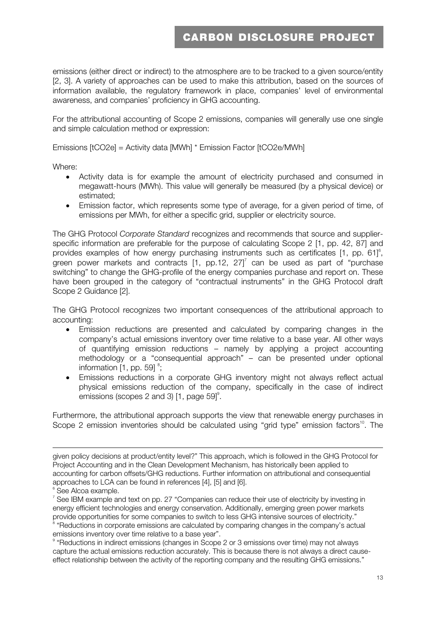emissions (either direct or indirect) to the atmosphere are to be tracked to a given source/entity [2, 3]. A variety of approaches can be used to make this attribution, based on the sources of information available, the regulatory framework in place, companies' level of environmental awareness, and companies' proficiency in GHG accounting.

For the attributional accounting of Scope 2 emissions, companies will generally use one single and simple calculation method or expression:

Emissions [tCO2e] = Activity data [MWh] \* Emission Factor [tCO2e/MWh]

Where:

- Activity data is for example the amount of electricity purchased and consumed in megawatt-hours (MWh). This value will generally be measured (by a physical device) or estimated;
- Emission factor, which represents some type of average, for a given period of time, of emissions per MWh, for either a specific grid, supplier or electricity source.

The GHG Protocol *Corporate Standard* recognizes and recommends that source and supplierspecific information are preferable for the purpose of calculating Scope 2 [1, pp. 42, 87] and provides examples of how energy purchasing instruments such as certificates  $[1, pp. 61]$ <sup>6</sup>, green power markets and contracts  $[1, pp.12, 27]$  can be used as part of "purchase switching" to change the GHG-profile of the energy companies purchase and report on. These have been grouped in the category of "contractual instruments" in the GHG Protocol draft Scope 2 Guidance [2].

The GHG Protocol recognizes two important consequences of the attributional approach to accounting:

- Emission reductions are presented and calculated by comparing changes in the company's actual emissions inventory over time relative to a base year. All other ways of quantifying emission reductions – namely by applying a project accounting methodology or a "consequential approach" – can be presented under optional information  $[1, pp. 59]$ <sup>8</sup>;
- Emissions reductions in a corporate GHG inventory might not always reflect actual physical emissions reduction of the company, specifically in the case of indirect emissions (scopes 2 and 3)  $[1, page 59]^9$ .

Furthermore, the attributional approach supports the view that renewable energy purchases in Scope 2 emission inventories should be calculated using "grid type" emission factors<sup>10</sup>. The

<u> 1989 - Johann Barn, amerikansk politiker (d. 1989)</u>

emissions inventory over time relative to a base year".

given policy decisions at product/entity level?" This approach, which is followed in the GHG Protocol for Project Accounting and in the Clean Development Mechanism, has historically been applied to accounting for carbon offsets/GHG reductions. Further information on attributional and consequential approaches to LCA can be found in references [4], [5] and [6].

<sup>&</sup>lt;sup>6</sup> See Alcoa example.

 $7$  See IBM example and text on pp. 27 "Companies can reduce their use of electricity by investing in energy efficient technologies and energy conservation. Additionally, emerging green power markets provide opportunities for some companies to switch to less GHG intensive sources of electricity." "Reductions in corporate emissions are calculated by comparing changes in the company's actual

<sup>&</sup>lt;sup>9</sup> "Reductions in indirect emissions (changes in Scope 2 or 3 emissions over time) may not always capture the actual emissions reduction accurately. This is because there is not always a direct causeeffect relationship between the activity of the reporting company and the resulting GHG emissions."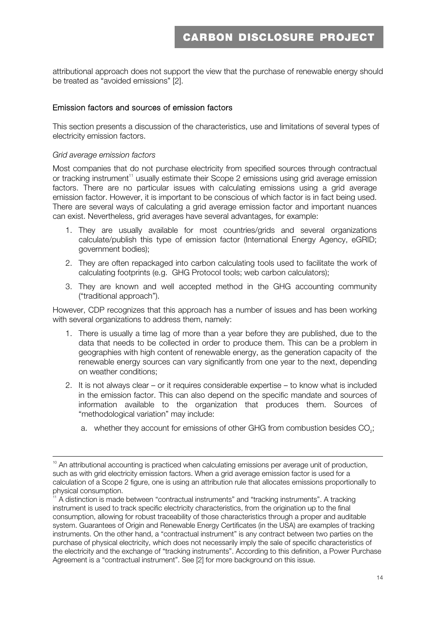attributional approach does not support the view that the purchase of renewable energy should be treated as "avoided emissions" [2].

#### Emission factors and sources of emission factors

This section presents a discussion of the characteristics, use and limitations of several types of electricity emission factors.

#### *Grid average emission factors*

Most companies that do not purchase electricity from specified sources through contractual or tracking instrument<sup>11</sup> usually estimate their Scope 2 emissions using grid average emission factors. There are no particular issues with calculating emissions using a grid average emission factor. However, it is important to be conscious of which factor is in fact being used. There are several ways of calculating a grid average emission factor and important nuances can exist. Nevertheless, grid averages have several advantages, for example:

- 1. They are usually available for most countries/grids and several organizations calculate/publish this type of emission factor (International Energy Agency, eGRID; government bodies);
- 2. They are often repackaged into carbon calculating tools used to facilitate the work of calculating footprints (e.g. GHG Protocol tools; web carbon calculators);
- 3. They are known and well accepted method in the GHG accounting community ("traditional approach").

However, CDP recognizes that this approach has a number of issues and has been working with several organizations to address them, namely:

- 1. There is usually a time lag of more than a year before they are published, due to the data that needs to be collected in order to produce them. This can be a problem in geographies with high content of renewable energy, as the generation capacity of the renewable energy sources can vary significantly from one year to the next, depending on weather conditions;
- 2. It is not always clear or it requires considerable expertise to know what is included in the emission factor. This can also depend on the specific mandate and sources of information available to the organization that produces them. Sources of "methodological variation" may include:
	- a. whether they account for emissions of other GHG from combustion besides CO<sub>2</sub>;

<u> Andreas Andreas Andreas Andreas Andreas Andreas Andreas Andreas Andreas Andreas Andreas Andreas Andreas Andr</u>

<sup>&</sup>lt;sup>10</sup> An attributional accounting is practiced when calculating emissions per average unit of production, such as with grid electricity emission factors. When a grid average emission factor is used for a calculation of a Scope 2 figure, one is using an attribution rule that allocates emissions proportionally to physical consumption.

<sup>11</sup> A distinction is made between "contractual instruments" and "tracking instruments". A tracking instrument is used to track specific electricity characteristics, from the origination up to the final consumption, allowing for robust traceability of those characteristics through a proper and auditable system. Guarantees of Origin and Renewable Energy Certificates (in the USA) are examples of tracking instruments. On the other hand, a "contractual instrument" is any contract between two parties on the purchase of physical electricity, which does not necessarily imply the sale of specific characteristics of the electricity and the exchange of "tracking instruments". According to this definition, a Power Purchase Agreement is a "contractual instrument". See [2] for more background on this issue.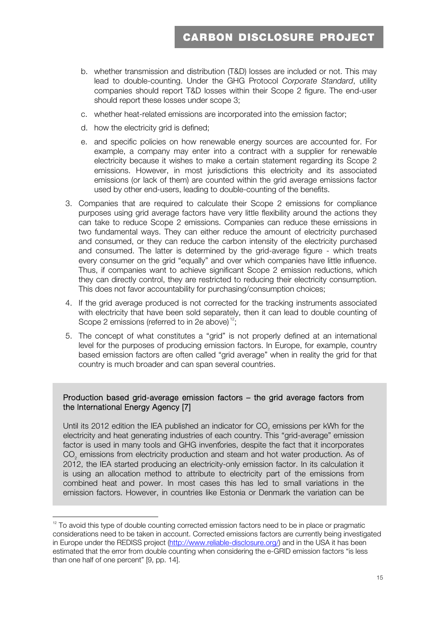- b. whether transmission and distribution (T&D) losses are included or not. This may lead to double-counting. Under the GHG Protocol *Corporate Standard*, utility companies should report T&D losses within their Scope 2 figure. The end-user should report these losses under scope 3;
- c. whether heat-related emissions are incorporated into the emission factor;
- d. how the electricity grid is defined;
- e. and specific policies on how renewable energy sources are accounted for. For example, a company may enter into a contract with a supplier for renewable electricity because it wishes to make a certain statement regarding its Scope 2 emissions. However, in most jurisdictions this electricity and its associated emissions (or lack of them) are counted within the grid average emissions factor used by other end-users, leading to double-counting of the benefits.
- 3. Companies that are required to calculate their Scope 2 emissions for compliance purposes using grid average factors have very little flexibility around the actions they can take to reduce Scope 2 emissions. Companies can reduce these emissions in two fundamental ways. They can either reduce the amount of electricity purchased and consumed, or they can reduce the carbon intensity of the electricity purchased and consumed. The latter is determined by the grid-average figure - which treats every consumer on the grid "equally" and over which companies have little influence. Thus, if companies want to achieve significant Scope 2 emission reductions, which they can directly control, they are restricted to reducing their electricity consumption. This does not favor accountability for purchasing/consumption choices;
- 4. If the grid average produced is not corrected for the tracking instruments associated with electricity that have been sold separately, then it can lead to double counting of Scope 2 emissions (referred to in 2e above) $12$ ;
- 5. The concept of what constitutes a "grid" is not properly defined at an international level for the purposes of producing emission factors. In Europe, for example, country based emission factors are often called "grid average" when in reality the grid for that country is much broader and can span several countries.

#### Production based grid-average emission factors – the grid average factors from the International Energy Agency [7]

factor is used in many tools and GHG inventories, despite the fact that it incorporates Until its 2012 edition the IEA published an indicator for CO<sub>2</sub> emissions per kWh for the electricity and heat generating industries of each country. This "grid-average" emission CO<sub>2</sub> emissions from electricity production and steam and hot water production. As of 2012, the IEA started producing an electricity-only emission factor. In its calculation it is using an allocation method to attribute to electricity part of the emissions from combined heat and power. In most cases this has led to small variations in the emission factors. However, in countries like Estonia or Denmark the variation can be

 $12$  To avoid this type of double counting corrected emission factors need to be in place or pragmatic considerations need to be taken in account. Corrected emissions factors are currently being investigated in Europe under the REDISS project (http://www.reliable-disclosure.org/) and in the USA it has been estimated that the error from double counting when considering the e-GRID emission factors "is less than one half of one percent" [9, pp. 14].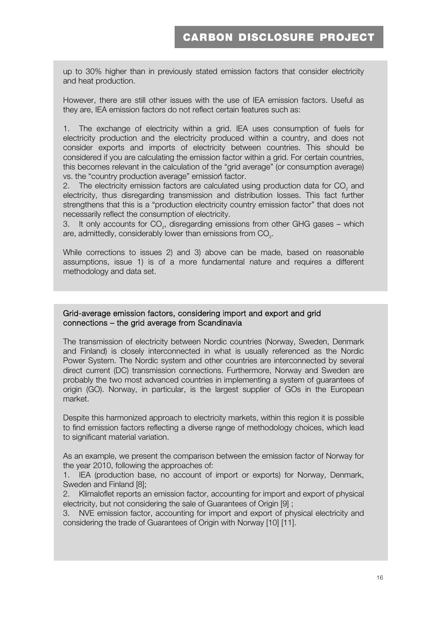up to 30% higher than in previously stated emission factors that consider electricity and heat production.

However, there are still other issues with the use of IEA emission factors. Useful as they are, IEA emission factors do not reflect certain features such as:

vs. the "country production average" emission factor. 1. The exchange of electricity within a grid. IEA uses consumption of fuels for electricity production and the electricity produced within a country, and does not consider exports and imports of electricity between countries. This should be considered if you are calculating the emission factor within a grid. For certain countries, this becomes relevant in the calculation of the "grid average" (or consumption average)

2. The electricity emission factors are calculated using production data for  $CO<sub>2</sub>$  and electricity, thus disregarding transmission and distribution losses. This fact further strengthens that this is a "production electricity country emission factor" that does not necessarily reflect the consumption of electricity.

3. It only accounts for CO<sub>2</sub>, disregarding emissions from other GHG gases – which are, admittedly, considerably lower than emissions from CO<sub>2</sub>.

While corrections to issues 2) and 3) above can be made, based on reasonable assumptions, issue 1) is of a more fundamental nature and requires a different methodology and data set.

#### Grid-average emission factors, considering import and export and grid connections – the grid average from Scandinavia

The transmission of electricity between Nordic countries (Norway, Sweden, Denmark and Finland) is closely interconnected in what is usually referenced as the Nordic Power System. The Nordic system and other countries are interconnected by several direct current (DC) transmission connections. Furthermore, Norway and Sweden are probably the two most advanced countries in implementing a system of guarantees of origin (GO). Norway, in particular, is the largest supplier of GOs in the European market.

to find emission factors reflecting a diverse range of methodology choices, which lead<br>to cignificant metorial variation Despite this harmonized approach to electricity markets, within this region it is possible to significant material variation.

As an example, we present the comparison between the emission factor of Norway for the year 2010, following the approaches of:

1. IEA (production base, no account of import or exports) for Norway, Denmark, Sweden and Finland [8];

2. Klimaloflet reports an emission factor, accounting for import and export of physical electricity, but not considering the sale of Guarantees of Origin [9] ;

3. NVE emission factor, accounting for import and export of physical electricity and considering the trade of Guarantees of Origin with Norway [10] [11].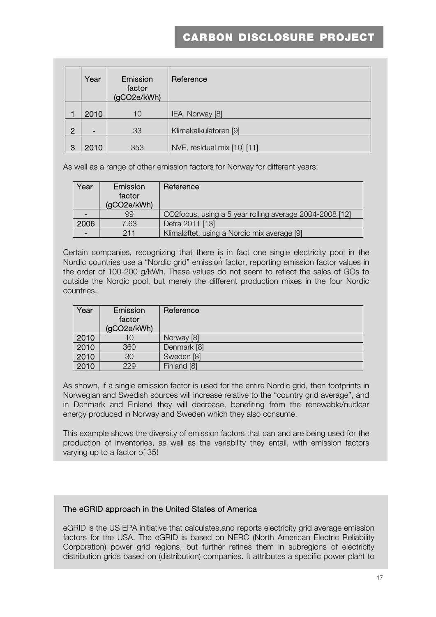|                | Year | Emission<br>factor<br>(gCO2e/kWh) | Reference                   |
|----------------|------|-----------------------------------|-----------------------------|
|                | 2010 | 10                                | IEA, Norway [8]             |
| $\overline{2}$ |      | 33                                | Klimakalkulatoren [9]       |
| 3              | 2010 | 353                               | NVE, residual mix [10] [11] |

As well as a range of other emission factors for Norway for different years:

| Year | Emission<br>factor<br>(gCO2e/kWh) | Reference                                               |
|------|-----------------------------------|---------------------------------------------------------|
|      | 99                                | CO2focus, using a 5 year rolling average 2004-2008 [12] |
| 2006 | 7.63                              | Defra 2011 [13]                                         |
|      | 211                               | Klimaløftet, using a Nordic mix average [9]             |

Nordic countries use a "Nordic grid" emission factor, reporting emission factor values in Certain companies, recognizing that there is in fact one single electricity pool in the the order of 100-200 g/kWh. These values do not seem to reflect the sales of GOs to outside the Nordic pool, but merely the different production mixes in the four Nordic countries.

| Year | Emission<br>factor<br>(gCO2e/kWh) | Reference   |
|------|-----------------------------------|-------------|
| 2010 | 10                                | Norway [8]  |
| 2010 | 360                               | Denmark [8] |
| 2010 | 30                                | Sweden [8]  |
| 2010 | 229                               | Finland [8] |

As shown, if a single emission factor is used for the entire Nordic grid, then footprints in Norwegian and Swedish sources will increase relative to the "country grid average", and in Denmark and Finland they will decrease, benefiting from the renewable/nuclear energy produced in Norway and Sweden which they also consume.

This example shows the diversity of emission factors that can and are being used for the production of inventories, as well as the variability they entail, with emission factors varying up to a factor of 35!

#### The eGRID approach in the United States of America

' factors for the USA. The eGRID is based on NERC (North American Electric Reliability eGRID is the US EPA initiative that calculates and reports electricity grid average emission Corporation) power grid regions, but further refines them in subregions of electricity distribution grids based on (distribution) companies. It attributes a specific power plant to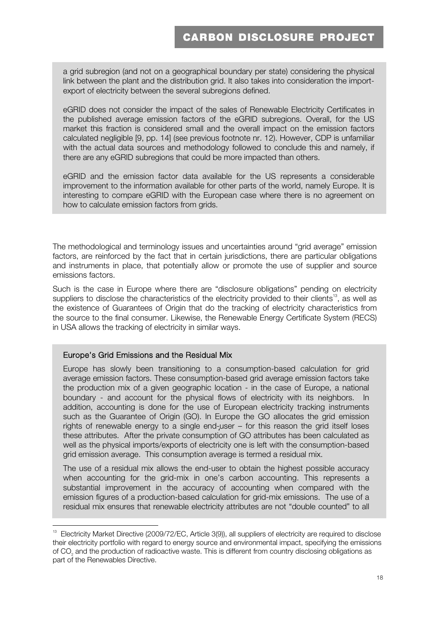a grid subregion (and not on a geographical boundary per state) considering the physical link between the plant and the distribution grid. It also takes into consideration the importexport of electricity between the several subregions defined.

eGRID does not consider the impact of the sales of Renewable Electricity Certificates in the published average emission factors of the eGRID subregions. Overall, for the US market this fraction is considered small and the overall impact on the emission factors calculated negligible [9, pp. 14] (see previous footnote nr. 12). However, CDP is unfamiliar with the actual data sources and methodology followed to conclude this and namely, if there are any eGRID subregions that could be more impacted than others.

eGRID and the emission factor data available for the US represents a considerable improvement to the information available for other parts of the world, namely Europe. It is interesting to compare eGRID with the European case where there is no agreement on how to calculate emission factors from grids.

The methodological and terminology issues and uncertainties around "grid average" emission factors, are reinforced by the fact that in certain jurisdictions, there are particular obligations and instruments in place, that potentially allow or promote the use of supplier and source emissions factors.

Such is the case in Europe where there are "disclosure obligations" pending on electricity suppliers to disclose the characteristics of the electricity provided to their clients<sup>13</sup>, as well as the existence of Guarantees of Origin that do the tracking of electricity characteristics from the source to the final consumer. Likewise, the Renewable Energy Certificate System (RECS) in USA allows the tracking of electricity in similar ways.

#### Europe's Grid Emissions and the Residual Mix

' these attributes. After the private consumption of GO attributes has been calculated as Europe has slowly been transitioning to a consumption-based calculation for grid average emission factors. These consumption-based grid average emission factors take the production mix of a given geographic location - in the case of Europe, a national boundary - and account for the physical flows of electricity with its neighbors. In addition, accounting is done for the use of European electricity tracking instruments such as the Guarantee of Origin (GO). In Europe the GO allocates the grid emission rights of renewable energy to a single end-user – for this reason the grid itself loses well as the physical imports/exports of electricity one is left with the consumption-based grid emission average. This consumption average is termed a residual mix.

The use of a residual mix allows the end-user to obtain the highest possible accuracy when accounting for the grid-mix in one's carbon accounting. This represents a substantial improvement in the accuracy of accounting when compared with the emission figures of a production-based calculation for grid-mix emissions. The use of a residual mix ensures that renewable electricity attributes are not "double counted" to all

<sup>&</sup>lt;sup>13</sup> Electricity Market Directive (2009/72/EC, Article 3(9)), all suppliers of electricity are required to disclose their electricity portfolio with regard to energy source and environmental impact, specifying the emissions of CO2 and the production of radioactive waste. This is different from country disclosing obligations as part of the Renewables Directive.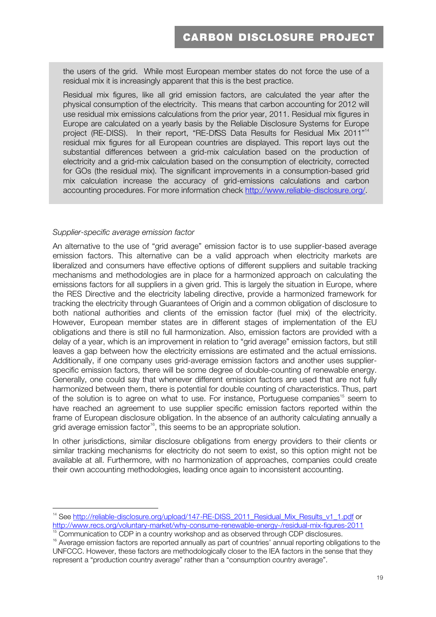the users of the grid. While most European member states do not force the use of a residual mix it is increasingly apparent that this is the best practice.

project (RE-DISS). In their report, "RE-DISS Data Results for Residual Mix 2011"<sup>14</sup> Residual mix figures, like all grid emission factors, are calculated the year after the physical consumption of the electricity. This means that carbon accounting for 2012 will use residual mix emissions calculations from the prior year, 2011. Residual mix figures in Europe are calculated on a yearly basis by the Reliable Disclosure Systems for Europe residual mix figures for all European countries are displayed. This report lays out the substantial differences between a grid-mix calculation based on the production of electricity and a grid-mix calculation based on the consumption of electricity, corrected for GOs (the residual mix). The significant improvements in a consumption-based grid mix calculation increase the accuracy of grid-emissions calculations and carbon accounting procedures. For more information check http://www.reliable-disclosure.org/.

#### *Supplier-specific average emission factor*

An alternative to the use of "grid average" emission factor is to use supplier-based average emission factors. This alternative can be a valid approach when electricity markets are liberalized and consumers have effective options of different suppliers and suitable tracking mechanisms and methodologies are in place for a harmonized approach on calculating the emissions factors for all suppliers in a given grid. This is largely the situation in Europe, where the RES Directive and the electricity labeling directive, provide a harmonized framework for tracking the electricity through Guarantees of Origin and a common obligation of disclosure to both national authorities and clients of the emission factor (fuel mix) of the electricity. However, European member states are in different stages of implementation of the EU obligations and there is still no full harmonization. Also, emission factors are provided with a delay of a year, which is an improvement in relation to "grid average" emission factors, but still leaves a gap between how the electricity emissions are estimated and the actual emissions. Additionally, if one company uses grid-average emission factors and another uses supplierspecific emission factors, there will be some degree of double-counting of renewable energy. Generally, one could say that whenever different emission factors are used that are not fully harmonized between them, there is potential for double counting of characteristics. Thus, part of the solution is to agree on what to use. For instance, Portuguese companies<sup>15</sup> seem to have reached an agreement to use supplier specific emission factors reported within the frame of European disclosure obligation. In the absence of an authority calculating annually a grid average emission factor<sup>16</sup>, this seems to be an appropriate solution.

In other jurisdictions, similar disclosure obligations from energy providers to their clients or similar tracking mechanisms for electricity do not seem to exist, so this option might not be available at all. Furthermore, with no harmonization of approaches, companies could create their own accounting methodologies, leading once again to inconsistent accounting.

<sup>&</sup>lt;sup>14</sup> See http://reliable-disclosure.org/upload/147-RE-DISS\_2011\_Residual\_Mix\_Results\_v1\_1.pdf or<br>http://www.recs.org/voluntary-market/why-consume-renewable-energy-/residual-mix-figures-2011 Communication to CDP in a country workshop and as observed through CDP disclosures.

<sup>&</sup>lt;sup>16</sup> Average emission factors are reported annually as part of countries' annual reporting obligations to the UNFCCC. However, these factors are methodologically closer to the IEA factors in the sense that they represent a "production country average" rather than a "consumption country average".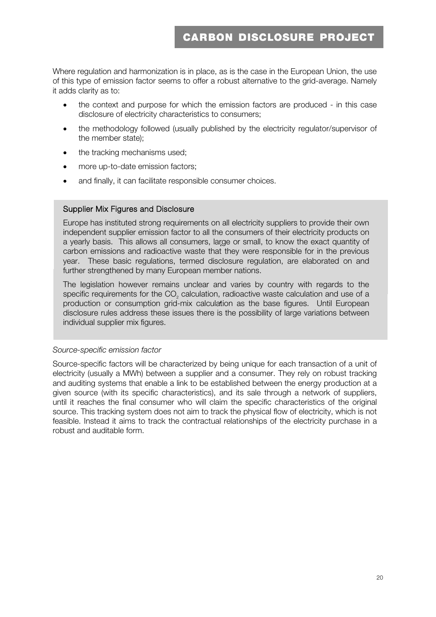Where regulation and harmonization is in place, as is the case in the European Union, the use of this type of emission factor seems to offer a robust alternative to the grid-average. Namely it adds clarity as to:

- the context and purpose for which the emission factors are produced in this case disclosure of electricity characteristics to consumers;
- the methodology followed (usually published by the electricity regulator/supervisor of the member state);
- the tracking mechanisms used:
- more up-to-date emission factors;
- and finally, it can facilitate responsible consumer choices.

#### Supplier Mix Figures and Disclosure

' carbon emissions and radioactive waste that they were responsible for in the previous Europe has instituted strong requirements on all electricity suppliers to provide their own independent supplier emission factor to all the consumers of their electricity products on a yearly basis. This allows all consumers, large or small, to know the exact quantity of year. These basic regulations, termed disclosure regulation, are elaborated on and further strengthened by many European member nations.

' production or consumption grid-mix calculation as the base figures. Until European The legislation however remains unclear and varies by country with regards to the specific requirements for the CO<sub>2</sub> calculation, radioactive waste calculation and use of a disclosure rules address these issues there is the possibility of large variations between individual supplier mix figures.

#### *Source-specific emission factor*

Source-specific factors will be characterized by being unique for each transaction of a unit of electricity (usually a MWh) between a supplier and a consumer. They rely on robust tracking and auditing systems that enable a link to be established between the energy production at a given source (with its specific characteristics), and its sale through a network of suppliers, until it reaches the final consumer who will claim the specific characteristics of the original source. This tracking system does not aim to track the physical flow of electricity, which is not feasible. Instead it aims to track the contractual relationships of the electricity purchase in a robust and auditable form.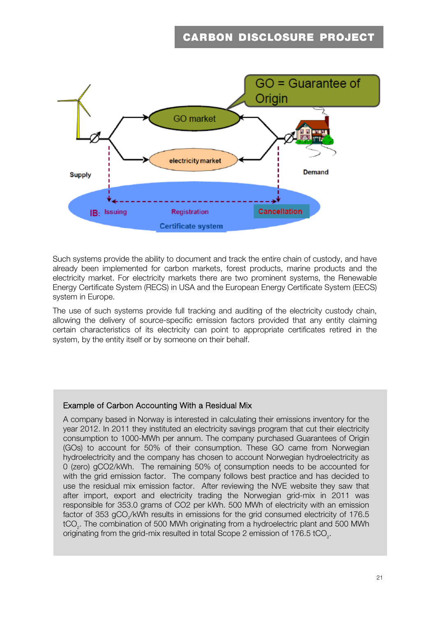

Such systems provide the ability to document and track the entire chain of custody, and have already been implemented for carbon markets, forest products, marine products and the electricity market. For electricity markets there are two prominent systems, the Renewable Energy Certificate System (RECS) in USA and the European Energy Certificate System (EECS) system in Europe.

The use of such systems provide full tracking and auditing of the electricity custody chain, allowing the delivery of source-specific emission factors provided that any entity claiming certain characteristics of its electricity can point to appropriate certificates retired in the system, by the entity itself or by someone on their behalf.

#### Example of Carbon Accounting With a Residual Mix

' with the grid emission factor. The company follows best practice and has decided to A company based in Norway is interested in calculating their emissions inventory for the year 2012. In 2011 they instituted an electricity savings program that cut their electricity consumption to 1000-MWh per annum. The company purchased Guarantees of Origin (GOs) to account for 50% of their consumption. These GO came from Norwegian hydroelectricity and the company has chosen to account Norwegian hydroelectricity as 0 (zero) gCO2/kWh. The remaining 50% of consumption needs to be accounted for use the residual mix emission factor. After reviewing the NVE website they saw that after import, export and electricity trading the Norwegian grid-mix in 2011 was responsible for 353.0 grams of CO2 per kWh. 500 MWh of electricity with an emission factor of 353 gCO<sub>2</sub>/kWh results in emissions for the grid consumed electricity of 176.5 tCO2. The combination of 500 MWh originating from a hydroelectric plant and 500 MWh originating from the grid-mix resulted in total Scope 2 emission of 176.5 tCO<sub>2</sub>.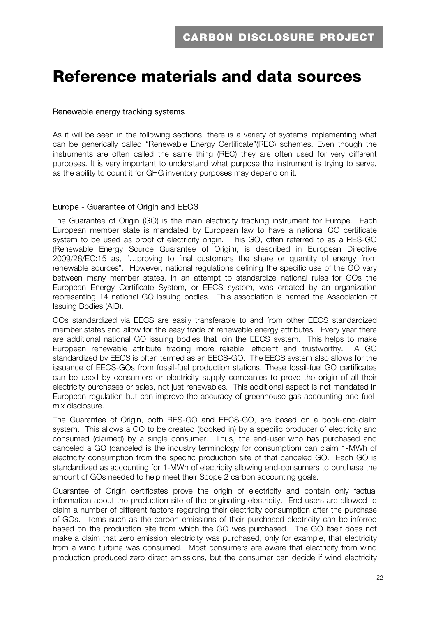## **Reference materials and data sources**

#### Renewable energy tracking systems

As it will be seen in the following sections, there is a variety of systems implementing what can be generically called "Renewable Energy Certificate"(REC) schemes. Even though the instruments are often called the same thing (REC) they are often used for very different purposes. It is very important to understand what purpose the instrument is trying to serve, as the ability to count it for GHG inventory purposes may depend on it.

#### Europe - Guarantee of Origin and EECS

The Guarantee of Origin (GO) is the main electricity tracking instrument for Europe. Each European member state is mandated by European law to have a national GO certificate system to be used as proof of electricity origin. This GO, often referred to as a RES-GO (Renewable Energy Source Guarantee of Origin), is described in European Directive 2009/28/EC:15 as, "…proving to final customers the share or quantity of energy from renewable sources". However, national regulations defining the specific use of the GO vary between many member states. In an attempt to standardize national rules for GOs the European Energy Certificate System, or EECS system, was created by an organization representing 14 national GO issuing bodies. This association is named the Association of Issuing Bodies (AIB).

GOs standardized via EECS are easily transferable to and from other EECS standardized member states and allow for the easy trade of renewable energy attributes. Every year there are additional national GO issuing bodies that join the EECS system. This helps to make European renewable attribute trading more reliable, efficient and trustworthy. A GO standardized by EECS is often termed as an EECS-GO. The EECS system also allows for the issuance of EECS-GOs from fossil-fuel production stations. These fossil-fuel GO certificates can be used by consumers or electricity supply companies to prove the origin of all their electricity purchases or sales, not just renewables. This additional aspect is not mandated in European regulation but can improve the accuracy of greenhouse gas accounting and fuelmix disclosure.

The Guarantee of Origin, both RES-GO and EECS-GO, are based on a book-and-claim system. This allows a GO to be created (booked in) by a specific producer of electricity and consumed (claimed) by a single consumer. Thus, the end-user who has purchased and canceled a GO (canceled is the industry terminology for consumption) can claim 1-MWh of electricity consumption from the specific production site of that canceled GO. Each GO is standardized as accounting for 1-MWh of electricity allowing end-consumers to purchase the amount of GOs needed to help meet their Scope 2 carbon accounting goals.

Guarantee of Origin certificates prove the origin of electricity and contain only factual information about the production site of the originating electricity. End-users are allowed to claim a number of different factors regarding their electricity consumption after the purchase of GOs. Items such as the carbon emissions of their purchased electricity can be inferred based on the production site from which the GO was purchased. The GO itself does not make a claim that zero emission electricity was purchased, only for example, that electricity from a wind turbine was consumed. Most consumers are aware that electricity from wind production produced zero direct emissions, but the consumer can decide if wind electricity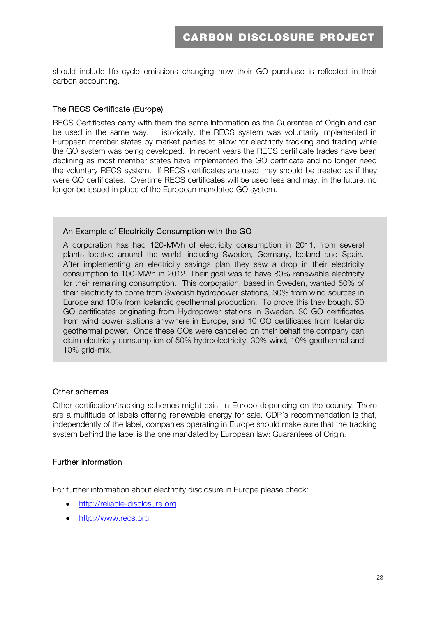should include life cycle emissions changing how their GO purchase is reflected in their carbon accounting.

#### The RECS Certificate (Europe)

RECS Certificates carry with them the same information as the Guarantee of Origin and can be used in the same way. Historically, the RECS system was voluntarily implemented in European member states by market parties to allow for electricity tracking and trading while the GO system was being developed. In recent years the RECS certificate trades have been declining as most member states have implemented the GO certificate and no longer need the voluntary RECS system. If RECS certificates are used they should be treated as if they were GO certificates. Overtime RECS certificates will be used less and may, in the future, no longer be issued in place of the European mandated GO system.

#### An Example of Electricity Consumption with the GO

' their electricity to come from Swedish hydropower stations, 30% from wind sources in A corporation has had 120-MWh of electricity consumption in 2011, from several plants located around the world, including Sweden, Germany, Iceland and Spain. After implementing an electricity savings plan they saw a drop in their electricity consumption to 100-MWh in 2012. Their goal was to have 80% renewable electricity for their remaining consumption. This corporation, based in Sweden, wanted 50% of Europe and 10% from Icelandic geothermal production. To prove this they bought 50 GO certificates originating from Hydropower stations in Sweden, 30 GO certificates from wind power stations anywhere in Europe, and 10 GO certificates from Icelandic geothermal power. Once these GOs were cancelled on their behalf the company can claim electricity consumption of 50% hydroelectricity, 30% wind, 10% geothermal and 10% grid-mix.

#### Other schemes

Other certification/tracking schemes might exist in Europe depending on the country. There are a multitude of labels offering renewable energy for sale. CDP's recommendation is that, independently of the label, companies operating in Europe should make sure that the tracking system behind the label is the one mandated by European law: Guarantees of Origin.

#### Further information

For further information about electricity disclosure in Europe please check:

- http://reliable-disclosure.org
- http://www.recs.org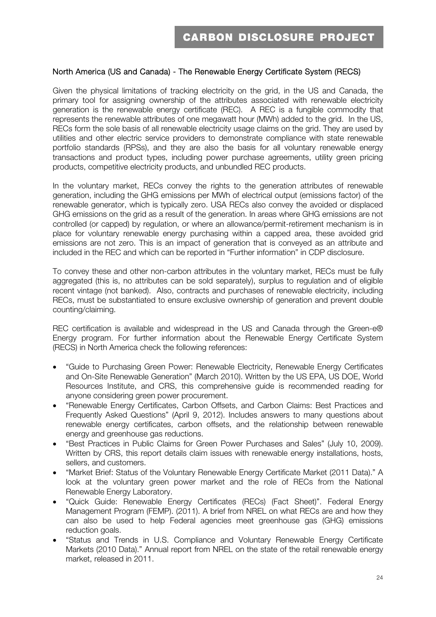#### North America (US and Canada) - The Renewable Energy Certificate System (RECS)

Given the physical limitations of tracking electricity on the grid, in the US and Canada, the primary tool for assigning ownership of the attributes associated with renewable electricity generation is the renewable energy certificate (REC). A REC is a fungible commodity that represents the renewable attributes of one megawatt hour (MWh) added to the grid. In the US, RECs form the sole basis of all renewable electricity usage claims on the grid. They are used by utilities and other electric service providers to demonstrate compliance with state renewable portfolio standards (RPSs), and they are also the basis for all voluntary renewable energy transactions and product types, including power purchase agreements, utility green pricing products, competitive electricity products, and unbundled REC products.

In the voluntary market, RECs convey the rights to the generation attributes of renewable generation, including the GHG emissions per MWh of electrical output (emissions factor) of the renewable generator, which is typically zero. USA RECs also convey the avoided or displaced GHG emissions on the grid as a result of the generation. In areas where GHG emissions are not controlled (or capped) by regulation, or where an allowance/permit-retirement mechanism is in place for voluntary renewable energy purchasing within a capped area, these avoided grid emissions are not zero. This is an impact of generation that is conveyed as an attribute and included in the REC and which can be reported in "Further information" in CDP disclosure.

To convey these and other non-carbon attributes in the voluntary market, RECs must be fully aggregated (this is, no attributes can be sold separately), surplus to regulation and of eligible recent vintage (not banked). Also, contracts and purchases of renewable electricity, including RECs, must be substantiated to ensure exclusive ownership of generation and prevent double counting/claiming.

REC certification is available and widespread in the US and Canada through the Green-e® Energy program. For further information about the Renewable Energy Certificate System (RECS) in North America check the following references:

- "Guide to Purchasing Green Power: Renewable Electricity, Renewable Energy Certificates and On-Site Renewable Generation" (March 2010). Written by the US EPA, US DOE, World Resources Institute, and CRS, this comprehensive guide is recommended reading for anyone considering green power procurement.
- "Renewable Energy Certificates, Carbon Offsets, and Carbon Claims: Best Practices and Frequently Asked Questions" (April 9, 2012). Includes answers to many questions about renewable energy certificates, carbon offsets, and the relationship between renewable energy and greenhouse gas reductions.
- "Best Practices in Public Claims for Green Power Purchases and Sales" (July 10, 2009). Written by CRS, this report details claim issues with renewable energy installations, hosts, sellers, and customers.
- "Market Brief: Status of the Voluntary Renewable Energy Certificate Market (2011 Data)." A look at the voluntary green power market and the role of RECs from the National Renewable Energy Laboratory.
- "Quick Guide: Renewable Energy Certificates (RECs) (Fact Sheet)". Federal Energy Management Program (FEMP). (2011). A brief from NREL on what RECs are and how they can also be used to help Federal agencies meet greenhouse gas (GHG) emissions reduction goals.
- "Status and Trends in U.S. Compliance and Voluntary Renewable Energy Certificate Markets (2010 Data)." Annual report from NREL on the state of the retail renewable energy market, released in 2011.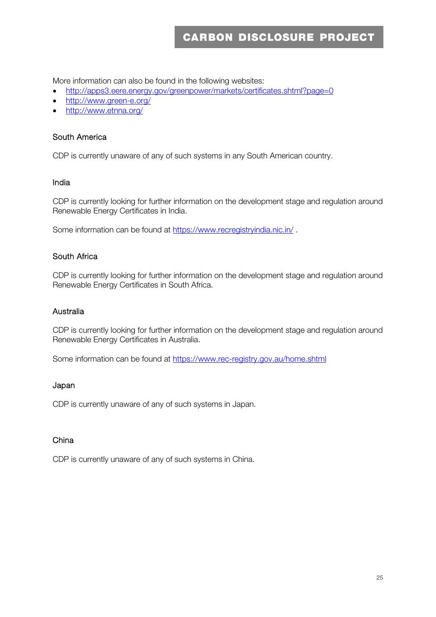More information can also be found in the following websites:

- http://apps3.eere.energy.gov/greenpower/markets/certificates.shtml?page=0
- http://www.green-e.org/
- http://www.etnna.org/

#### South America

CDP is currently unaware of any of such systems in any South American country.

#### India

CDP is currently looking for further information on the development stage and regulation around Renewable Energy Certificates in India.

Some information can be found at https://www.recregistryindia.nic.in/ .

#### South Africa

CDP is currently looking for further information on the development stage and regulation around Renewable Energy Certificates in South Africa.

#### Australia

CDP is currently looking for further information on the development stage and regulation around Renewable Energy Certificates in Australia.

Some information can be found at https://www.rec-registry.gov.au/home.shtml

#### Japan

CDP is currently unaware of any of such systems in Japan.

#### China

CDP is currently unaware of any of such systems in China.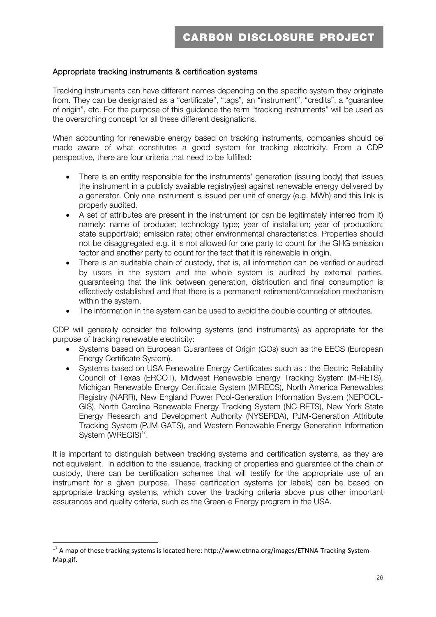#### Appropriate tracking instruments & certification systems

Tracking instruments can have different names depending on the specific system they originate from. They can be designated as a "certificate", "tags", an "instrument", "credits", a "guarantee of origin", etc. For the purpose of this guidance the term "tracking instruments" will be used as the overarching concept for all these different designations.

When accounting for renewable energy based on tracking instruments, companies should be made aware of what constitutes a good system for tracking electricity. From a CDP perspective, there are four criteria that need to be fulfilled:

- There is an entity responsible for the instruments' generation (issuing body) that issues the instrument in a publicly available registry(ies) against renewable energy delivered by a generator. Only one instrument is issued per unit of energy (e.g. MWh) and this link is properly audited.
- A set of attributes are present in the instrument (or can be legitimately inferred from it) namely: name of producer; technology type; year of installation; year of production; state support/aid; emission rate; other environmental characteristics. Properties should not be disaggregated e.g. it is not allowed for one party to count for the GHG emission factor and another party to count for the fact that it is renewable in origin.
- There is an auditable chain of custody, that is, all information can be verified or audited by users in the system and the whole system is audited by external parties, guaranteeing that the link between generation, distribution and final consumption is effectively established and that there is a permanent retirement/cancelation mechanism within the system.
- The information in the system can be used to avoid the double counting of attributes.

CDP will generally consider the following systems (and instruments) as appropriate for the purpose of tracking renewable electricity:

- Systems based on European Guarantees of Origin (GOs) such as the EECS (European Energy Certificate System).
- Systems based on USA Renewable Energy Certificates such as : the Electric Reliability Council of Texas (ERCOT), Midwest Renewable Energy Tracking System (M-RETS), Michigan Renewable Energy Certificate System (MIRECS), North America Renewables Registry (NARR), New England Power Pool-Generation Information System (NEPOOL-GIS), North Carolina Renewable Energy Tracking System (NC-RETS), New York State Energy Research and Development Authority (NYSERDA), PJM-Generation Attribute Tracking System (PJM-GATS), and Western Renewable Energy Generation Information System (WREGIS)<sup>17</sup>.

It is important to distinguish between tracking systems and certification systems, as they are not equivalent. In addition to the issuance, tracking of properties and guarantee of the chain of custody, there can be certification schemes that will testify for the appropriate use of an instrument for a given purpose. These certification systems (or labels) can be based on appropriate tracking systems, which cover the tracking criteria above plus other important assurances and quality criteria, such as the Green-e Energy program in the USA.

 $^{17}$  A map of these tracking systems is located here: http://www.etnna.org/images/ETNNA-Tracking-System-Map.gif.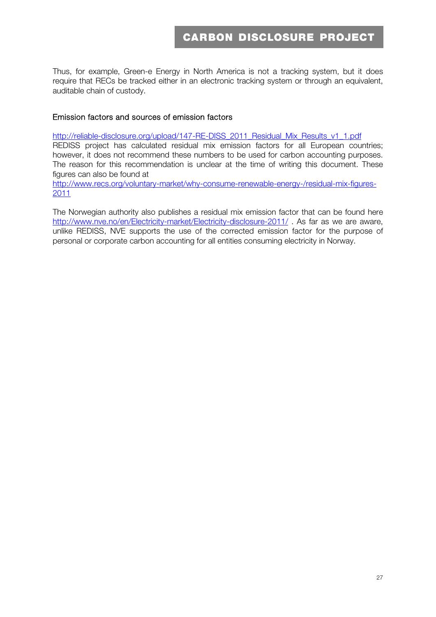Thus, for example, Green-e Energy in North America is not a tracking system, but it does require that RECs be tracked either in an electronic tracking system or through an equivalent, auditable chain of custody.

#### Emission factors and sources of emission factors

http://reliable-disclosure.org/upload/147-RE-DISS\_2011\_Residual\_Mix\_Results\_v1\_1.pdf

REDISS project has calculated residual mix emission factors for all European countries; however, it does not recommend these numbers to be used for carbon accounting purposes. The reason for this recommendation is unclear at the time of writing this document. These figures can also be found at

http://www.recs.org/voluntary-market/why-consume-renewable-energy-/residual-mix-figures-2011

The Norwegian authority also publishes a residual mix emission factor that can be found here http://www.nve.no/en/Electricity-market/Electricity-disclosure-2011/ . As far as we are aware, unlike REDISS, NVE supports the use of the corrected emission factor for the purpose of personal or corporate carbon accounting for all entities consuming electricity in Norway.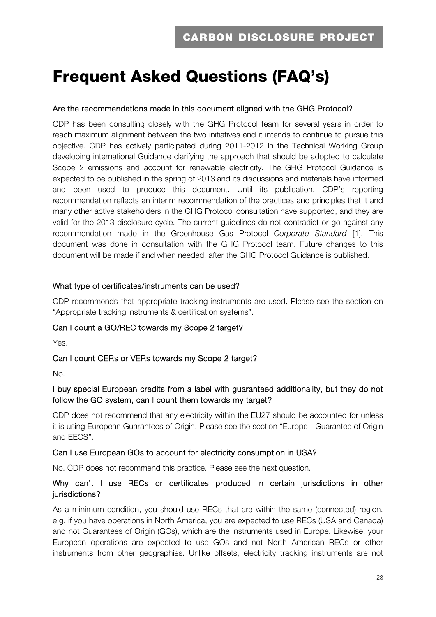## **Frequent Asked Questions (FAQ's)**

#### Are the recommendations made in this document aligned with the GHG Protocol?

CDP has been consulting closely with the GHG Protocol team for several years in order to reach maximum alignment between the two initiatives and it intends to continue to pursue this objective. CDP has actively participated during 2011-2012 in the Technical Working Group developing international Guidance clarifying the approach that should be adopted to calculate Scope 2 emissions and account for renewable electricity. The GHG Protocol Guidance is expected to be published in the spring of 2013 and its discussions and materials have informed and been used to produce this document. Until its publication, CDP's reporting recommendation reflects an interim recommendation of the practices and principles that it and many other active stakeholders in the GHG Protocol consultation have supported, and they are valid for the 2013 disclosure cycle. The current guidelines do not contradict or go against any recommendation made in the Greenhouse Gas Protocol *Corporate Standard* [1]. This document was done in consultation with the GHG Protocol team. Future changes to this document will be made if and when needed, after the GHG Protocol Guidance is published.

#### What type of certificates/instruments can be used?

CDP recommends that appropriate tracking instruments are used. Please see the section on "Appropriate tracking instruments & certification systems".

#### Can I count a GO/REC towards my Scope 2 target?

Yes.

#### Can I count CERs or VERs towards my Scope 2 target?

No.

#### I buy special European credits from a label with guaranteed additionality, but they do not follow the GO system, can I count them towards my target?

CDP does not recommend that any electricity within the EU27 should be accounted for unless it is using European Guarantees of Origin. Please see the section "Europe - Guarantee of Origin and EECS".

#### Can I use European GOs to account for electricity consumption in USA?

No. CDP does not recommend this practice. Please see the next question.

#### Why can't I use RECs or certificates produced in certain jurisdictions in other jurisdictions?

As a minimum condition, you should use RECs that are within the same (connected) region, e.g. if you have operations in North America, you are expected to use RECs (USA and Canada) and not Guarantees of Origin (GOs), which are the instruments used in Europe. Likewise, your European operations are expected to use GOs and not North American RECs or other instruments from other geographies. Unlike offsets, electricity tracking instruments are not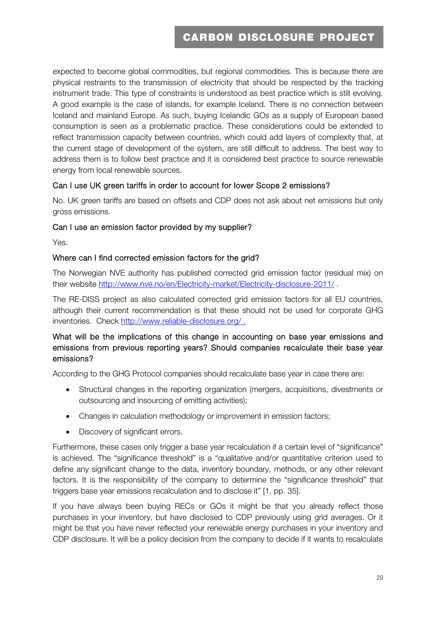expected to become global commodities, but regional commodities. This is because there are physical restraints to the transmission of electricity that should be respected by the tracking instrument trade. This type of constraints is understood as best practice which is still evolving. A good example is the case of islands, for example Iceland. There is no connection between Iceland and mainland Europe. As such, buying Icelandic GOs as a supply of European based consumption is seen as a problematic practice. These considerations could be extended to reflect transmission capacity between countries, which could add layers of complexity that, at the current stage of development of the system, are still difficult to address. The best way to address them is to follow best practice and it is considered best practice to source renewable energy from local renewable sources.

#### Can I use UK green tariffs in order to account for lower Scope 2 emissions?

No. UK green tariffs are based on offsets and CDP does not ask about net emissions but only gross emissions.

#### Can I use an emission factor provided by my supplier?

Yes.

#### Where can I find corrected emission factors for the grid?

The Norwegian NVE authority has published corrected grid emission factor (residual mix) on their website http://www.nve.no/en/Electricity-market/Electricity-disclosure-2011/ .

The RE-DISS project as also calculated corrected grid emission factors for all EU countries, although their current recommendation is that these should not be used for corporate GHG inventories. Check http://www.reliable-disclosure.org/ .

#### What will be the implications of this change in accounting on base year emissions and emissions from previous reporting years? Should companies recalculate their base year emissions?

According to the GHG Protocol companies should recalculate base year in case there are:

- Structural changes in the reporting organization (mergers, acquisitions, divestments or outsourcing and insourcing of emitting activities);
- Changes in calculation methodology or improvement in emission factors;
- Discovery of significant errors.

Furthermore, these cases only trigger a base year recalculation if a certain level of "significance" is achieved. The "significance threshold" is a "qualitative and/or quantitative criterion used to define any significant change to the data, inventory boundary, methods, or any other relevant factors. It is the responsibility of the company to determine the "significance threshold" that triggers base year emissions recalculation and to disclose it" [1, pp. 35].

If you have always been buying RECs or GOs it might be that you already reflect those purchases in your inventory, but have disclosed to CDP previously using grid averages. Or it might be that you have never reflected your renewable energy purchases in your inventory and CDP disclosure. It will be a policy decision from the company to decide if it wants to recalculate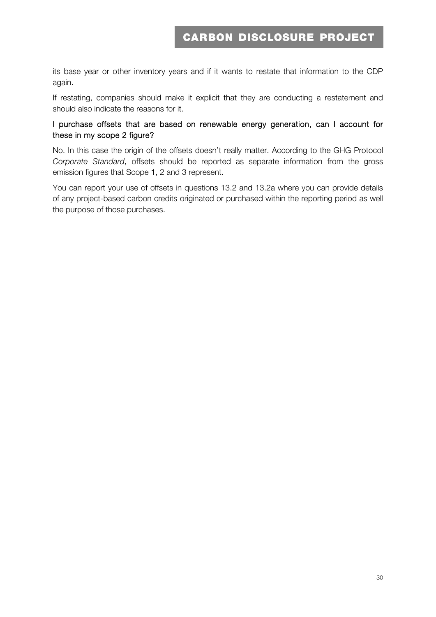its base year or other inventory years and if it wants to restate that information to the CDP again.

If restating, companies should make it explicit that they are conducting a restatement and should also indicate the reasons for it.

#### I purchase offsets that are based on renewable energy generation, can I account for these in my scope 2 figure?

No. In this case the origin of the offsets doesn't really matter. According to the GHG Protocol *Corporate Standard*, offsets should be reported as separate information from the gross emission figures that Scope 1, 2 and 3 represent.

You can report your use of offsets in questions 13.2 and 13.2a where you can provide details of any project-based carbon credits originated or purchased within the reporting period as well the purpose of those purchases.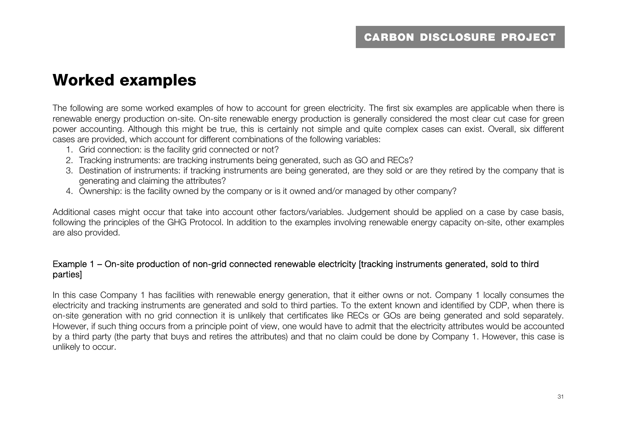## **Worked examples**

The following are some worked examples of how to account for green electricity. The first six examples are applicable when there is renewable energy production on-site. On-site renewable energy production is generally considered the most clear cut case for green power accounting. Although this might be true, this is certainly not simple and quite complex cases can exist. Overall, six different cases are provided, which account for different combinations of the following variables:

- 1. Grid connection: is the facility grid connected or not?
- 2. Tracking instruments: are tracking instruments being generated, such as GO and RECs?
- 3. Destination of instruments: if tracking instruments are being generated, are they sold or are they retired by the company that is generating and claiming the attributes?
- 4. Ownership: is the facility owned by the company or is it owned and/or managed by other company?

Additional cases might occur that take into account other factors/variables. Judgement should be applied on a case by case basis, following the principles of the GHG Protocol. In addition to the examples involving renewable energy capacity on-site, other examples are also provided.

#### Example 1 – On-site production of non-grid connected renewable electricity [tracking instruments generated, sold to third parties]

In this case Company 1 has facilities with renewable energy generation, that it either owns or not. Company 1 locally consumes the electricity and tracking instruments are generated and sold to third parties. To the extent known and identified by CDP, when there is on-site generation with no grid connection it is unlikely that certificates like RECs or GOs are being generated and sold separately. However, if such thing occurs from a principle point of view, one would have to admit that the electricity attributes would be accounted by a third party (the party that buys and retires the attributes) and that no claim could be done by Company 1. However, this case is unlikely to occur.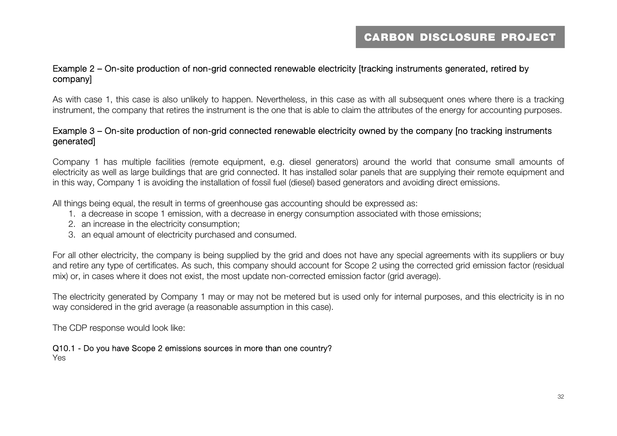#### Example 2 – On-site production of non-grid connected renewable electricity [tracking instruments generated, retired by company]

As with case 1, this case is also unlikely to happen. Nevertheless, in this case as with all subsequent ones where there is a tracking instrument, the company that retires the instrument is the one that is able to claim the attributes of the energy for accounting purposes.

#### Example 3 – On-site production of non-grid connected renewable electricity owned by the company [no tracking instruments generated]

Company 1 has multiple facilities (remote equipment, e.g. diesel generators) around the world that consume small amounts of electricity as well as large buildings that are grid connected. It has installed solar panels that are supplying their remote equipment and in this way, Company 1 is avoiding the installation of fossil fuel (diesel) based generators and avoiding direct emissions.

All things being equal, the result in terms of greenhouse gas accounting should be expressed as:

- 1. a decrease in scope 1 emission, with a decrease in energy consumption associated with those emissions;
- 2. an increase in the electricity consumption;
- 3. an equal amount of electricity purchased and consumed.

For all other electricity, the company is being supplied by the grid and does not have any special agreements with its suppliers or buy and retire any type of certificates. As such, this company should account for Scope 2 using the corrected grid emission factor (residual mix) or, in cases where it does not exist, the most update non-corrected emission factor (grid average).

The electricity generated by Company 1 may or may not be metered but is used only for internal purposes, and this electricity is in no way considered in the grid average (a reasonable assumption in this case).

The CDP response would look like:

#### Q10.1 - Do you have Scope 2 emissions sources in more than one country?

Yes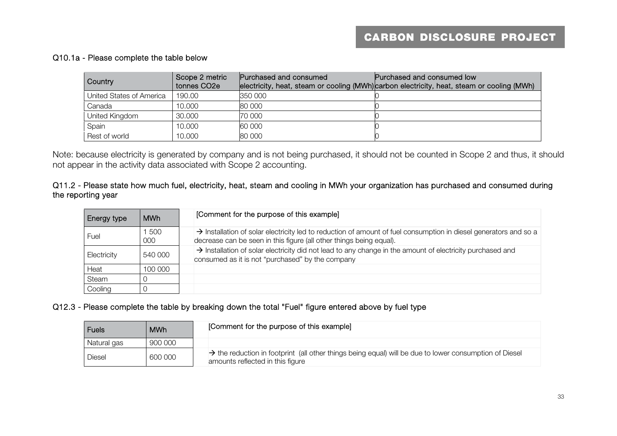#### Q10.1a - Please complete the table below

| Country                  | Scope 2 metric<br>tonnes CO <sub>2e</sub> | Purchased and consumed | Purchased and consumed low<br>electricity, heat, steam or cooling (MWh)carbon electricity, heat, steam or cooling (MWh) |
|--------------------------|-------------------------------------------|------------------------|-------------------------------------------------------------------------------------------------------------------------|
| United States of America | 190.00                                    | 350 000                |                                                                                                                         |
| Canada                   | 10.000                                    | 80 000                 |                                                                                                                         |
| United Kingdom           | 30.000                                    | 70 000                 |                                                                                                                         |
| Spain                    | 10.000                                    | 60 000                 |                                                                                                                         |
| Rest of world            | 10.000                                    | 80 000                 |                                                                                                                         |

Note: because electricity is generated by company and is not being purchased, it should not be counted in Scope 2 and thus, it should not appear in the activity data associated with Scope 2 accounting.

#### Q11.2 - Please state how much fuel, electricity, heat, steam and cooling in MWh your organization has purchased and consumed during the reporting year

| <b>Energy type</b> | <b>MWh</b> | [Comment for the purpose of this example]                                                                                                                                                           |
|--------------------|------------|-----------------------------------------------------------------------------------------------------------------------------------------------------------------------------------------------------|
| Fuel               | 500<br>000 | $\rightarrow$ Installation of solar electricity led to reduction of amount of fuel consumption in diesel generators and so a<br>decrease can be seen in this figure (all other things being equal). |
| Electricity        | 540 000    | $\rightarrow$ Installation of solar electricity did not lead to any change in the amount of electricity purchased and<br>consumed as it is not "purchased" by the company                           |
| Heat               | 100 000    |                                                                                                                                                                                                     |
| Steam              |            |                                                                                                                                                                                                     |
| Cooling            |            |                                                                                                                                                                                                     |

#### Q12.3 - Please complete the table by breaking down the total "Fuel" figure entered above by fuel type

| <b>Fuels</b> | <b>MWh</b> | [Comment for the purpose of this example]                                                                                                  |
|--------------|------------|--------------------------------------------------------------------------------------------------------------------------------------------|
| Natural gas  | 900 000    |                                                                                                                                            |
| Diesel       | 600 000    | A the reduction in footprint (all other things being equal) will be due to lower consumption of Diesel<br>amounts reflected in this figure |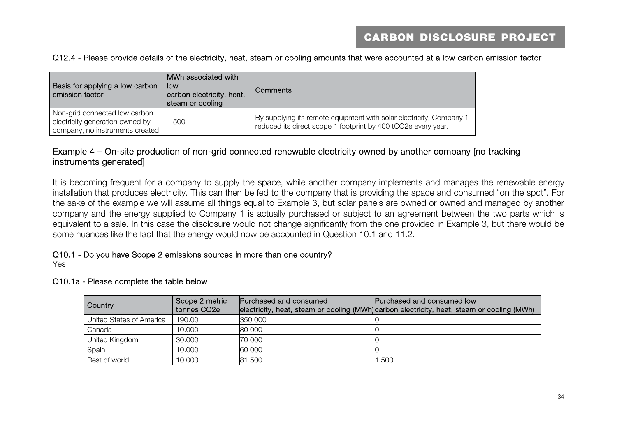#### Q12.4 - Please provide details of the electricity, heat, steam or cooling amounts that were accounted at a low carbon emission factor

| Basis for applying a low carbon<br>emission factor                                                  | MWh associated with<br>low<br>carbon electricity, heat,<br>steam or cooling | Comments                                                                                                                             |
|-----------------------------------------------------------------------------------------------------|-----------------------------------------------------------------------------|--------------------------------------------------------------------------------------------------------------------------------------|
| Non-grid connected low carbon<br>electricity generation owned by<br>company, no instruments created | 500                                                                         | By supplying its remote equipment with solar electricity, Company 1<br>reduced its direct scope 1 footprint by 400 tCO2e every year. |

#### Example 4 – On-site production of non-grid connected renewable electricity owned by another company [no tracking instruments generated]

It is becoming frequent for a company to supply the space, while another company implements and manages the renewable energy installation that produces electricity. This can then be fed to the company that is providing the space and consumed "on the spot". For the sake of the example we will assume all things equal to Example 3, but solar panels are owned or owned and managed by another company and the energy supplied to Company 1 is actually purchased or subject to an agreement between the two parts which is equivalent to a sale. In this case the disclosure would not change significantly from the one provided in Example 3, but there would be some nuances like the fact that the energy would now be accounted in Question 10.1 and 11.2.

#### Q10.1 - Do you have Scope 2 emissions sources in more than one country?

Yes

#### Q10.1a - Please complete the table below

| <b>Country</b>           | Scope 2 metric<br>tonnes CO <sub>2</sub> e | Purchased and consumed | Purchased and consumed low<br>electricity, heat, steam or cooling (MWh)carbon electricity, heat, steam or cooling (MWh) |
|--------------------------|--------------------------------------------|------------------------|-------------------------------------------------------------------------------------------------------------------------|
| United States of America | 190.00                                     | 350 000                |                                                                                                                         |
| Canada                   | 10.000                                     | 80 000                 |                                                                                                                         |
| United Kingdom           | 30.000                                     | 70 000                 |                                                                                                                         |
| Spain                    | 10.000                                     | 60 000                 |                                                                                                                         |
| Rest of world            | 10.000                                     | 81 500                 | -500                                                                                                                    |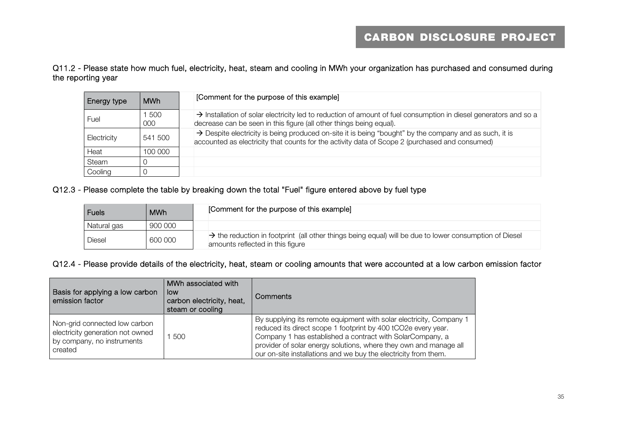#### Q11.2 - Please state how much fuel, electricity, heat, steam and cooling in MWh your organization has purchased and consumed during the reporting year

| Energy type | <b>MWh</b> | [Comment for the purpose of this example]                                                                                                                                                                |
|-------------|------------|----------------------------------------------------------------------------------------------------------------------------------------------------------------------------------------------------------|
| Fuel        | 500<br>000 | $\rightarrow$ Installation of solar electricity led to reduction of amount of fuel consumption in diesel generators and so a<br>decrease can be seen in this figure (all other things being equal).      |
| Electricity | 541 500    | > Despite electricity is being produced on-site it is being "bought" by the company and as such, it is<br>accounted as electricity that counts for the activity data of Scope 2 (purchased and consumed) |
| Heat        | 100 000    |                                                                                                                                                                                                          |
| Steam       |            |                                                                                                                                                                                                          |
| Cooling     |            |                                                                                                                                                                                                          |

#### Q12.3 - Please complete the table by breaking down the total "Fuel" figure entered above by fuel type

| <b>Fuels</b> | <b>MWh</b> | [Comment for the purpose of this example]                                                                                                              |
|--------------|------------|--------------------------------------------------------------------------------------------------------------------------------------------------------|
| Natural gas  | 900 000    |                                                                                                                                                        |
| Diesel       | 600 000    | $\rightarrow$ the reduction in footprint (all other things being equal) will be due to lower consumption of Diesel<br>amounts reflected in this figure |

#### Q12.4 - Please provide details of the electricity, heat, steam or cooling amounts that were accounted at a low carbon emission factor

| Basis for applying a low carbon<br>emission factor                                                         | MWh associated with<br>low<br>carbon electricity, heat,<br>steam or cooling | Comments                                                                                                                                                                                                                                                                                                                                  |
|------------------------------------------------------------------------------------------------------------|-----------------------------------------------------------------------------|-------------------------------------------------------------------------------------------------------------------------------------------------------------------------------------------------------------------------------------------------------------------------------------------------------------------------------------------|
| Non-grid connected low carbon<br>electricity generation not owned<br>by company, no instruments<br>created | 500                                                                         | By supplying its remote equipment with solar electricity, Company 1<br>reduced its direct scope 1 footprint by 400 tCO2e every year.<br>Company 1 has established a contract with SolarCompany, a<br>provider of solar energy solutions, where they own and manage all<br>our on-site installations and we buy the electricity from them. |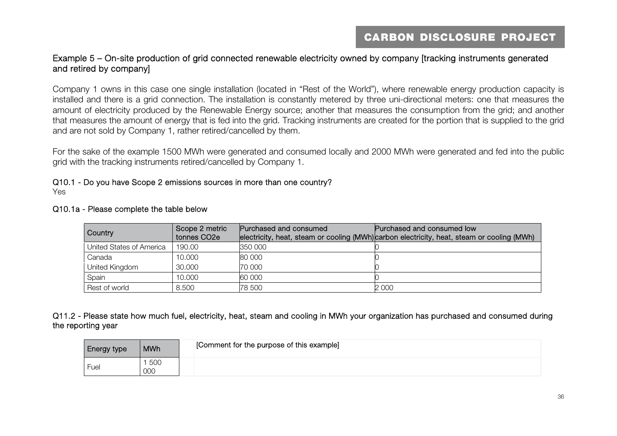#### Example 5 – On-site production of grid connected renewable electricity owned by company [tracking instruments generated and retired by company]

Company 1 owns in this case one single installation (located in "Rest of the World"), where renewable energy production capacity is installed and there is a grid connection. The installation is constantly metered by three uni-directional meters: one that measures the amount of electricity produced by the Renewable Energy source; another that measures the consumption from the grid; and another that measures the amount of energy that is fed into the grid. Tracking instruments are created for the portion that is supplied to the grid and are not sold by Company 1, rather retired/cancelled by them.

For the sake of the example 1500 MWh were generated and consumed locally and 2000 MWh were generated and fed into the public grid with the tracking instruments retired/cancelled by Company 1.

Q10.1 - Do you have Scope 2 emissions sources in more than one country? Yes

| <b>Country</b>           | Scope 2 metric<br>tonnes CO <sub>2e</sub> | Purchased and consumed | Purchased and consumed low<br>electricity, heat, steam or cooling (MWh) carbon electricity, heat, steam or cooling (MWh) |
|--------------------------|-------------------------------------------|------------------------|--------------------------------------------------------------------------------------------------------------------------|
| United States of America | 190.00                                    | 350 000                |                                                                                                                          |
| Canada                   | 10.000                                    | 80 000                 |                                                                                                                          |
| United Kingdom           | 30.000                                    | 70 000                 |                                                                                                                          |
| Spain                    | 10.000                                    | 60 000                 |                                                                                                                          |
| Rest of world            | 8.500                                     | 78 500                 | 2 000                                                                                                                    |

#### Q10.1a - Please complete the table below

Q11.2 - Please state how much fuel, electricity, heat, steam and cooling in MWh your organization has purchased and consumed during the reporting year

| <b>Energy type</b> | <b>MWh</b> | [Comment for the purpose of this example] |
|--------------------|------------|-------------------------------------------|
| Fuel               | 500<br>000 |                                           |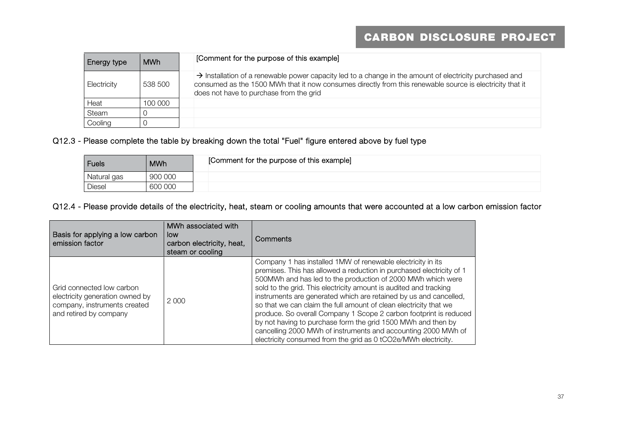| Energy type | <b>MWh</b> | [Comment for the purpose of this example]                                                                                                                                                                                                                                  |
|-------------|------------|----------------------------------------------------------------------------------------------------------------------------------------------------------------------------------------------------------------------------------------------------------------------------|
| Electricity | 538 500    | $\rightarrow$ Installation of a renewable power capacity led to a change in the amount of electricity purchased and<br>consumed as the 1500 MWh that it now consumes directly from this renewable source is electricity that it<br>does not have to purchase from the grid |
| Heat        | 100 000    |                                                                                                                                                                                                                                                                            |
| Steam       |            |                                                                                                                                                                                                                                                                            |
| Cooling     |            |                                                                                                                                                                                                                                                                            |

#### Q12.3 - Please complete the table by breaking down the total "Fuel" figure entered above by fuel type

| Fuels       | <b>MWh</b> | [Comment for the purpose of this example] |
|-------------|------------|-------------------------------------------|
| Natural gas | 900 000    |                                           |
| Diesel      | 600 000    |                                           |

#### Q12.4 - Please provide details of the electricity, heat, steam or cooling amounts that were accounted at a low carbon emission factor

| Basis for applying a low carbon<br>emission factor                                                                     | MWh associated with<br>low<br>carbon electricity, heat,<br>steam or cooling | Comments                                                                                                                                                                                                                                                                                                                                                                                                                                                                                                                                                                                                                                                                                  |
|------------------------------------------------------------------------------------------------------------------------|-----------------------------------------------------------------------------|-------------------------------------------------------------------------------------------------------------------------------------------------------------------------------------------------------------------------------------------------------------------------------------------------------------------------------------------------------------------------------------------------------------------------------------------------------------------------------------------------------------------------------------------------------------------------------------------------------------------------------------------------------------------------------------------|
| Grid connected low carbon<br>electricity generation owned by<br>company, instruments created<br>and retired by company | 2 0 0 0                                                                     | Company 1 has installed 1MW of renewable electricity in its<br>premises. This has allowed a reduction in purchased electricity of 1<br>500MWh and has led to the production of 2000 MWh which were<br>sold to the grid. This electricity amount is audited and tracking<br>instruments are generated which are retained by us and cancelled,<br>so that we can claim the full amount of clean electricity that we<br>produce. So overall Company 1 Scope 2 carbon footprint is reduced<br>by not having to purchase form the grid 1500 MWh and then by<br>cancelling 2000 MWh of instruments and accounting 2000 MWh of<br>electricity consumed from the grid as 0 tCO2e/MWh electricity. |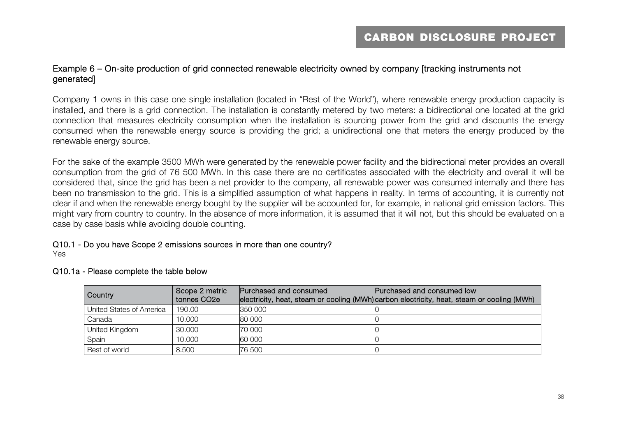#### Example 6 – On-site production of grid connected renewable electricity owned by company [tracking instruments not generated]

Company 1 owns in this case one single installation (located in "Rest of the World"), where renewable energy production capacity is installed, and there is a grid connection. The installation is constantly metered by two meters: a bidirectional one located at the grid connection that measures electricity consumption when the installation is sourcing power from the grid and discounts the energy consumed when the renewable energy source is providing the grid; a unidirectional one that meters the energy produced by the renewable energy source.

For the sake of the example 3500 MWh were generated by the renewable power facility and the bidirectional meter provides an overall consumption from the grid of 76 500 MWh. In this case there are no certificates associated with the electricity and overall it will be considered that, since the grid has been a net provider to the company, all renewable power was consumed internally and there has been no transmission to the grid. This is a simplified assumption of what happens in reality. In terms of accounting, it is currently not clear if and when the renewable energy bought by the supplier will be accounted for, for example, in national grid emission factors. This might vary from country to country. In the absence of more information, it is assumed that it will not, but this should be evaluated on a case by case basis while avoiding double counting.

## Q10.1 - Do you have Scope 2 emissions sources in more than one country?

Yes

| Country                  | Scope 2 metric<br>tonnes CO <sub>2e</sub> | Purchased and consumed | Purchased and consumed low<br>electricity, heat, steam or cooling (MWh)carbon electricity, heat, steam or cooling (MWh) |
|--------------------------|-------------------------------------------|------------------------|-------------------------------------------------------------------------------------------------------------------------|
| United States of America | 190.00                                    | 350 000                |                                                                                                                         |
| Canada                   | 10.000                                    | 80 000                 |                                                                                                                         |
| United Kingdom           | 30,000                                    | 70 000                 |                                                                                                                         |
| Spain                    | 10.000                                    | 60 000                 |                                                                                                                         |
| Rest of world            | 8.500                                     | 76 500                 |                                                                                                                         |

#### Q10.1a - Please complete the table below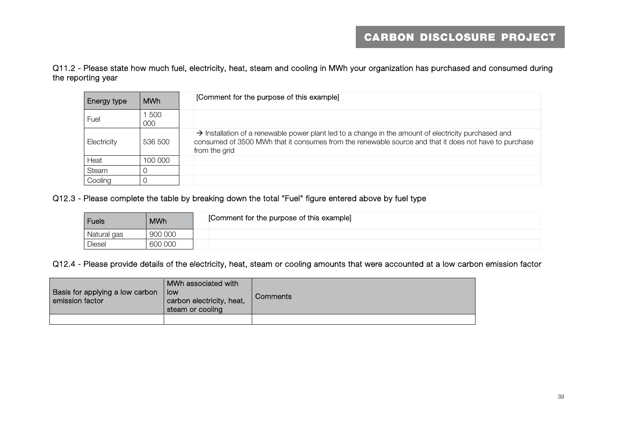Q11.2 - Please state how much fuel, electricity, heat, steam and cooling in MWh your organization has purchased and consumed during the reporting year

| Energy type | <b>MWh</b> | [Comment for the purpose of this example]                                                                                                                                                                                                  |
|-------------|------------|--------------------------------------------------------------------------------------------------------------------------------------------------------------------------------------------------------------------------------------------|
| Fuel        | 500<br>000 |                                                                                                                                                                                                                                            |
| Electricity | 536 500    | $\rightarrow$ Installation of a renewable power plant led to a change in the amount of electricity purchased and<br>consumed of 3500 MWh that it consumes from the renewable source and that it does not have to purchase<br>from the grid |
| Heat        | 100 000    |                                                                                                                                                                                                                                            |
| Steam       |            |                                                                                                                                                                                                                                            |
| Cooling     |            |                                                                                                                                                                                                                                            |

Q12.3 - Please complete the table by breaking down the total "Fuel" figure entered above by fuel type

| <b>Fuels</b> | <b>MWh</b> | [Comment for the purpose of this example] |
|--------------|------------|-------------------------------------------|
| Natural gas  | 900 000    |                                           |
| Diesel       | 600 000    |                                           |

Q12.4 - Please provide details of the electricity, heat, steam or cooling amounts that were accounted at a low carbon emission factor

| Basis for applying a low carbon<br>emission factor | MWh associated with<br>low<br>carbon electricity, heat,<br>steam or cooling | <b>Comments</b> |
|----------------------------------------------------|-----------------------------------------------------------------------------|-----------------|
|                                                    |                                                                             |                 |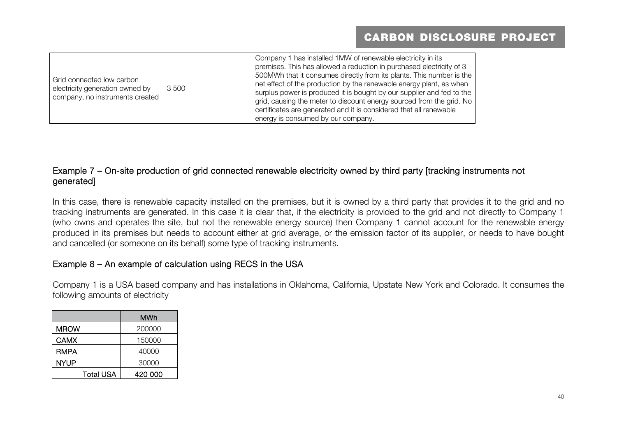| Grid connected low carbon<br>electricity generation owned by<br>company, no instruments created | 3 500 | Company 1 has installed 1MW of renewable electricity in its<br>premises. This has allowed a reduction in purchased electricity of 3<br>500MWh that it consumes directly from its plants. This number is the<br>net effect of the production by the renewable energy plant, as when<br>surplus power is produced it is bought by our supplier and fed to the<br>grid, causing the meter to discount energy sourced from the grid. No<br>certificates are generated and it is considered that all renewable<br>energy is consumed by our company. |
|-------------------------------------------------------------------------------------------------|-------|-------------------------------------------------------------------------------------------------------------------------------------------------------------------------------------------------------------------------------------------------------------------------------------------------------------------------------------------------------------------------------------------------------------------------------------------------------------------------------------------------------------------------------------------------|
|-------------------------------------------------------------------------------------------------|-------|-------------------------------------------------------------------------------------------------------------------------------------------------------------------------------------------------------------------------------------------------------------------------------------------------------------------------------------------------------------------------------------------------------------------------------------------------------------------------------------------------------------------------------------------------|

#### Example 7 – On-site production of grid connected renewable electricity owned by third party [tracking instruments not generated]

In this case, there is renewable capacity installed on the premises, but it is owned by a third party that provides it to the grid and no tracking instruments are generated. In this case it is clear that, if the electricity is provided to the grid and not directly to Company 1 (who owns and operates the site, but not the renewable energy source) then Company 1 cannot account for the renewable energy produced in its premises but needs to account either at grid average, or the emission factor of its supplier, or needs to have bought and cancelled (or someone on its behalf) some type of tracking instruments.

#### Example 8 – An example of calculation using RECS in the USA

Company 1 is a USA based company and has installations in Oklahoma, California, Upstate New York and Colorado. It consumes the following amounts of electricity

|                  | MWh     |
|------------------|---------|
| <b>MROW</b>      | 200000  |
| <b>CAMX</b>      | 150000  |
| <b>RMPA</b>      | 40000   |
| <b>NYUP</b>      | 30000   |
| <b>Total USA</b> | 420 000 |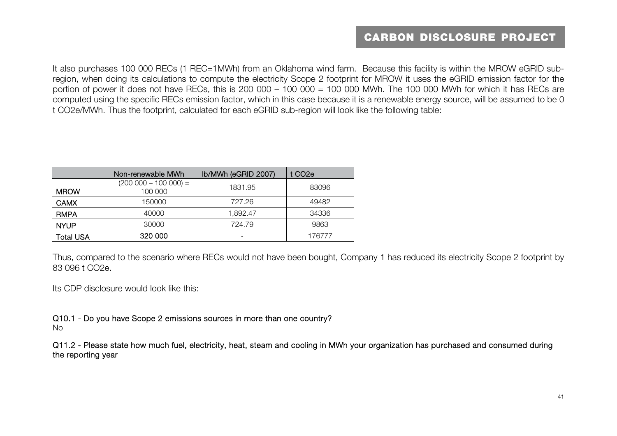It also purchases 100 000 RECs (1 REC=1MWh) from an Oklahoma wind farm. Because this facility is within the MROW eGRID subregion, when doing its calculations to compute the electricity Scope 2 footprint for MROW it uses the eGRID emission factor for the portion of power it does not have RECs, this is 200 000 – 100 000 = 100 000 MWh. The 100 000 MWh for which it has RECs are computed using the specific RECs emission factor, which in this case because it is a renewable energy source, will be assumed to be 0 t CO2e/MWh. Thus the footprint, calculated for each eGRID sub-region will look like the following table:

|                  | Non-renewable MWh                  | lb/MWh (eGRID 2007) | t CO <sub>2</sub> e |
|------------------|------------------------------------|---------------------|---------------------|
| <b>MROW</b>      | $(200 000 - 100 000) =$<br>100 000 | 1831.95             | 83096               |
| <b>CAMX</b>      | 150000                             | 727.26              | 49482               |
| <b>RMPA</b>      | 40000                              | 1.892.47            | 34336               |
| <b>NYUP</b>      | 30000                              | 724.79              | 9863                |
| <b>Total USA</b> | 320 000                            |                     | 176777              |

Thus, compared to the scenario where RECs would not have been bought, Company 1 has reduced its electricity Scope 2 footprint by 83 096 t CO2e.

Its CDP disclosure would look like this:

Q10.1 - Do you have Scope 2 emissions sources in more than one country? No

Q11.2 - Please state how much fuel, electricity, heat, steam and cooling in MWh your organization has purchased and consumed during the reporting year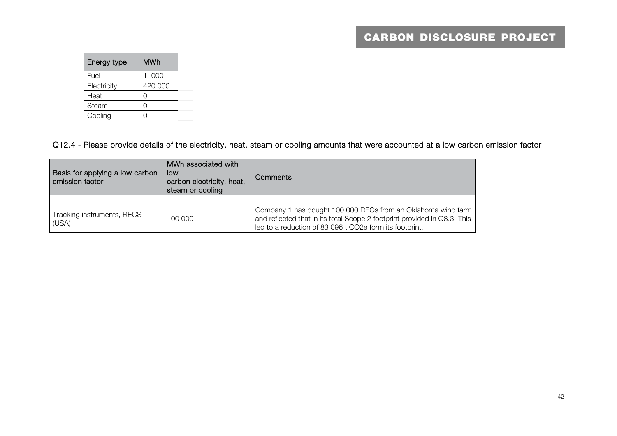| Energy type | <b>MWh</b> |  |
|-------------|------------|--|
| Fuel        | 000        |  |
| Electricity | 420 000    |  |
| Heat        | 0          |  |
| Steam       |            |  |
| Cooling     |            |  |

Q12.4 - Please provide details of the electricity, heat, steam or cooling amounts that were accounted at a low carbon emission factor

| Basis for applying a low carbon<br>emission factor | MWh associated with<br>low<br>carbon electricity, heat,<br>steam or cooling | Comments                                                                                                                                                                                            |
|----------------------------------------------------|-----------------------------------------------------------------------------|-----------------------------------------------------------------------------------------------------------------------------------------------------------------------------------------------------|
|                                                    |                                                                             |                                                                                                                                                                                                     |
| Tracking instruments, RECS<br>(USA)                | 100 000                                                                     | Company 1 has bought 100 000 RECs from an Oklahoma wind farm<br>and reflected that in its total Scope 2 footprint provided in Q8.3. This<br>led to a reduction of 83 096 t CO2e form its footprint. |